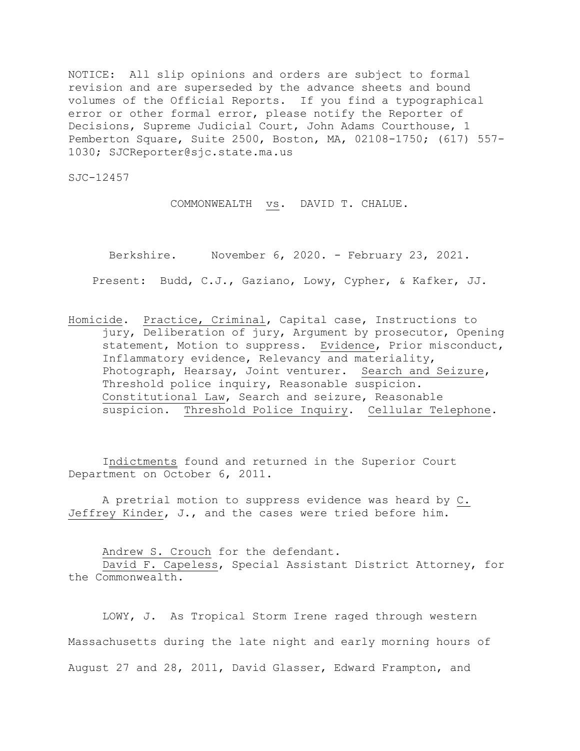NOTICE: All slip opinions and orders are subject to formal revision and are superseded by the advance sheets and bound volumes of the Official Reports. If you find a typographical error or other formal error, please notify the Reporter of Decisions, Supreme Judicial Court, John Adams Courthouse, 1 Pemberton Square, Suite 2500, Boston, MA, 02108-1750; (617) 557- 1030; SJCReporter@sjc.state.ma.us

SJC-12457

COMMONWEALTH vs. DAVID T. CHALUE.

Berkshire. November 6, 2020. - February 23, 2021.

Present: Budd, C.J., Gaziano, Lowy, Cypher, & Kafker, JJ.

Homicide. Practice, Criminal, Capital case, Instructions to jury, Deliberation of jury, Argument by prosecutor, Opening statement, Motion to suppress. Evidence, Prior misconduct, Inflammatory evidence, Relevancy and materiality, Photograph, Hearsay, Joint venturer. Search and Seizure, Threshold police inquiry, Reasonable suspicion. Constitutional Law, Search and seizure, Reasonable suspicion. Threshold Police Inquiry. Cellular Telephone.

Indictments found and returned in the Superior Court Department on October 6, 2011.

A pretrial motion to suppress evidence was heard by C. Jeffrey Kinder, J., and the cases were tried before him.

Andrew S. Crouch for the defendant.

David F. Capeless, Special Assistant District Attorney, for the Commonwealth.

LOWY, J. As Tropical Storm Irene raged through western Massachusetts during the late night and early morning hours of August 27 and 28, 2011, David Glasser, Edward Frampton, and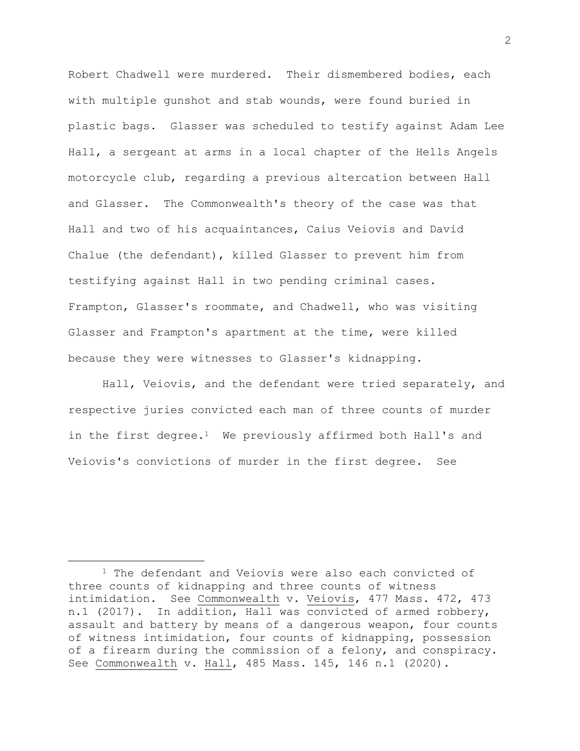Robert Chadwell were murdered. Their dismembered bodies, each with multiple gunshot and stab wounds, were found buried in plastic bags. Glasser was scheduled to testify against Adam Lee Hall, a sergeant at arms in a local chapter of the Hells Angels motorcycle club, regarding a previous altercation between Hall and Glasser. The Commonwealth's theory of the case was that Hall and two of his acquaintances, Caius Veiovis and David Chalue (the defendant), killed Glasser to prevent him from testifying against Hall in two pending criminal cases. Frampton, Glasser's roommate, and Chadwell, who was visiting Glasser and Frampton's apartment at the time, were killed because they were witnesses to Glasser's kidnapping.

Hall, Veiovis, and the defendant were tried separately, and respective juries convicted each man of three counts of murder in the first degree.<sup>1</sup> We previously affirmed both Hall's and Veiovis's convictions of murder in the first degree. See

<sup>1</sup> The defendant and Veiovis were also each convicted of three counts of kidnapping and three counts of witness intimidation. See Commonwealth v. Veiovis, 477 Mass. 472, 473 n.1 (2017). In addition, Hall was convicted of armed robbery, assault and battery by means of a dangerous weapon, four counts of witness intimidation, four counts of kidnapping, possession of a firearm during the commission of a felony, and conspiracy. See Commonwealth v. Hall, 485 Mass. 145, 146 n.1 (2020).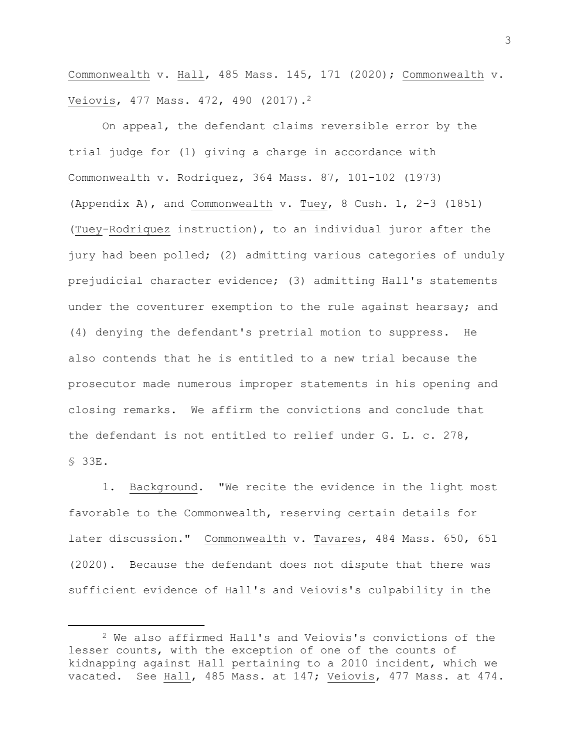Commonwealth v. Hall, 485 Mass. 145, 171 (2020); Commonwealth v. Veiovis, 477 Mass. 472, 490 (2017).<sup>2</sup>

On appeal, the defendant claims reversible error by the trial judge for (1) giving a charge in accordance with Commonwealth v. Rodriquez, 364 Mass. 87, 101-102 (1973) (Appendix A), and Commonwealth v. Tuey, 8 Cush. 1, 2-3 (1851) (Tuey-Rodriquez instruction), to an individual juror after the jury had been polled; (2) admitting various categories of unduly prejudicial character evidence; (3) admitting Hall's statements under the coventurer exemption to the rule against hearsay; and (4) denying the defendant's pretrial motion to suppress. He also contends that he is entitled to a new trial because the prosecutor made numerous improper statements in his opening and closing remarks. We affirm the convictions and conclude that the defendant is not entitled to relief under G. L. c. 278, § 33E.

1. Background. "We recite the evidence in the light most favorable to the Commonwealth, reserving certain details for later discussion." Commonwealth v. Tavares, 484 Mass. 650, 651 (2020). Because the defendant does not dispute that there was sufficient evidence of Hall's and Veiovis's culpability in the

<sup>2</sup> We also affirmed Hall's and Veiovis's convictions of the lesser counts, with the exception of one of the counts of kidnapping against Hall pertaining to a 2010 incident, which we vacated. See Hall, 485 Mass. at 147; Veiovis, 477 Mass. at 474.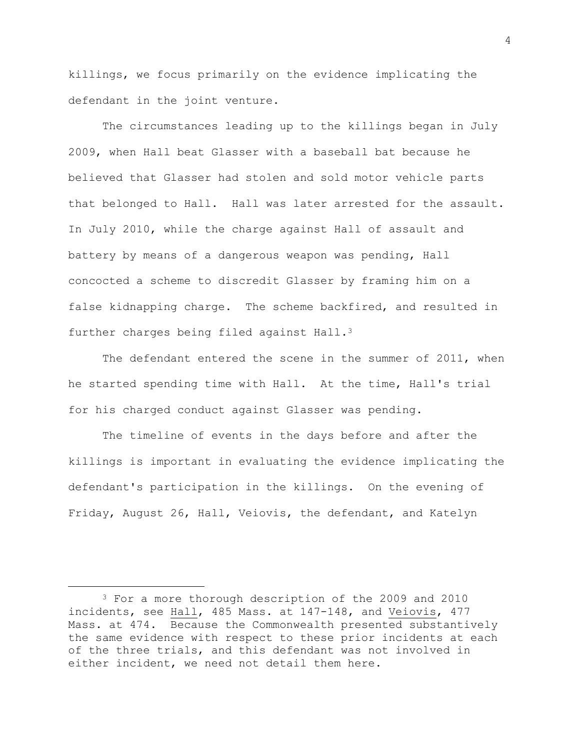killings, we focus primarily on the evidence implicating the defendant in the joint venture.

The circumstances leading up to the killings began in July 2009, when Hall beat Glasser with a baseball bat because he believed that Glasser had stolen and sold motor vehicle parts that belonged to Hall. Hall was later arrested for the assault. In July 2010, while the charge against Hall of assault and battery by means of a dangerous weapon was pending, Hall concocted a scheme to discredit Glasser by framing him on a false kidnapping charge. The scheme backfired, and resulted in further charges being filed against Hall.<sup>3</sup>

The defendant entered the scene in the summer of 2011, when he started spending time with Hall. At the time, Hall's trial for his charged conduct against Glasser was pending.

The timeline of events in the days before and after the killings is important in evaluating the evidence implicating the defendant's participation in the killings. On the evening of Friday, August 26, Hall, Veiovis, the defendant, and Katelyn

<sup>&</sup>lt;sup>3</sup> For a more thorough description of the 2009 and 2010 incidents, see Hall, 485 Mass. at 147-148, and Veiovis, 477 Mass. at 474. Because the Commonwealth presented substantively the same evidence with respect to these prior incidents at each of the three trials, and this defendant was not involved in either incident, we need not detail them here.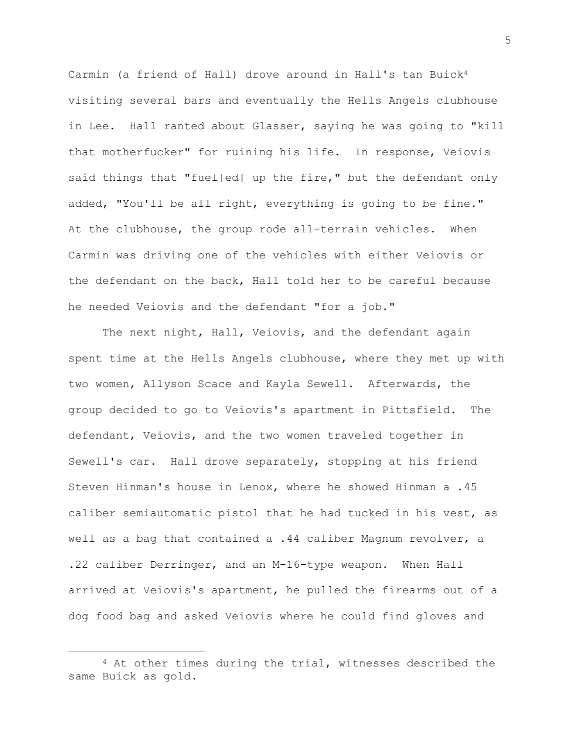Carmin (a friend of Hall) drove around in Hall's tan Buick<sup>4</sup> visiting several bars and eventually the Hells Angels clubhouse in Lee. Hall ranted about Glasser, saying he was going to "kill that motherfucker" for ruining his life. In response, Veiovis said things that "fuel[ed] up the fire," but the defendant only added, "You'll be all right, everything is going to be fine." At the clubhouse, the group rode all-terrain vehicles. When Carmin was driving one of the vehicles with either Veiovis or the defendant on the back, Hall told her to be careful because he needed Veiovis and the defendant "for a job."

The next night, Hall, Veiovis, and the defendant again spent time at the Hells Angels clubhouse, where they met up with two women, Allyson Scace and Kayla Sewell. Afterwards, the group decided to go to Veiovis's apartment in Pittsfield. The defendant, Veiovis, and the two women traveled together in Sewell's car. Hall drove separately, stopping at his friend Steven Hinman's house in Lenox, where he showed Hinman a .45 caliber semiautomatic pistol that he had tucked in his vest, as well as a bag that contained a .44 caliber Magnum revolver, a .22 caliber Derringer, and an M-16-type weapon. When Hall arrived at Veiovis's apartment, he pulled the firearms out of a dog food bag and asked Veiovis where he could find gloves and

<sup>4</sup> At other times during the trial, witnesses described the same Buick as gold.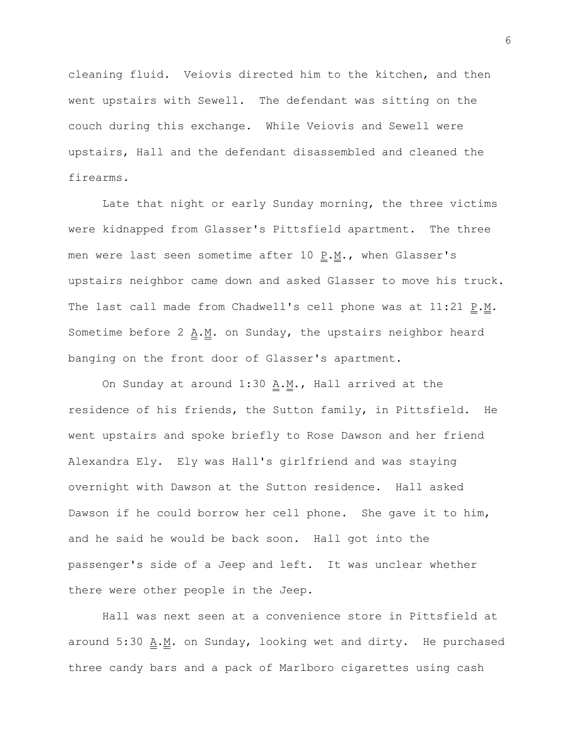cleaning fluid. Veiovis directed him to the kitchen, and then went upstairs with Sewell. The defendant was sitting on the couch during this exchange. While Veiovis and Sewell were upstairs, Hall and the defendant disassembled and cleaned the firearms.

Late that night or early Sunday morning, the three victims were kidnapped from Glasser's Pittsfield apartment. The three men were last seen sometime after 10  $P.M.,$  when Glasser's upstairs neighbor came down and asked Glasser to move his truck. The last call made from Chadwell's cell phone was at  $11:21$  P.M. Sometime before 2  $\underline{A.M.}$  on Sunday, the upstairs neighbor heard banging on the front door of Glasser's apartment.

On Sunday at around  $1:30$   $\underline{A.M.}$ , Hall arrived at the residence of his friends, the Sutton family, in Pittsfield. He went upstairs and spoke briefly to Rose Dawson and her friend Alexandra Ely. Ely was Hall's girlfriend and was staying overnight with Dawson at the Sutton residence. Hall asked Dawson if he could borrow her cell phone. She gave it to him, and he said he would be back soon. Hall got into the passenger's side of a Jeep and left. It was unclear whether there were other people in the Jeep.

Hall was next seen at a convenience store in Pittsfield at around 5:30 A.M. on Sunday, looking wet and dirty. He purchased three candy bars and a pack of Marlboro cigarettes using cash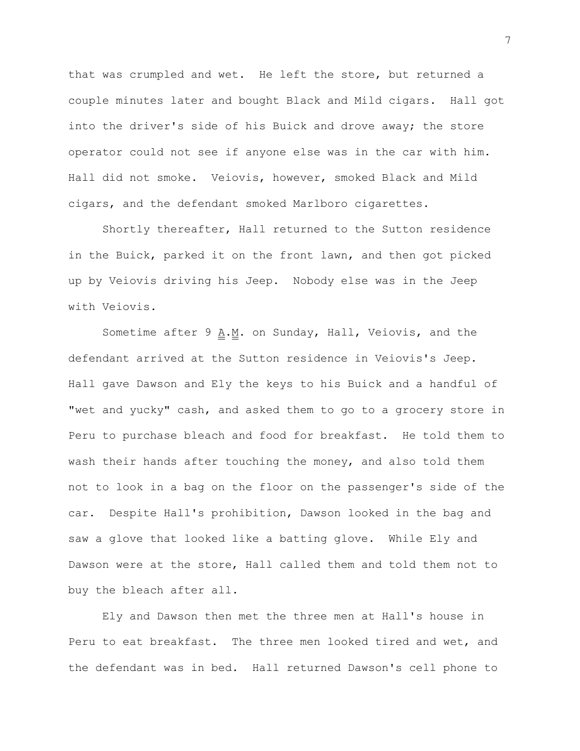that was crumpled and wet. He left the store, but returned a couple minutes later and bought Black and Mild cigars. Hall got into the driver's side of his Buick and drove away; the store operator could not see if anyone else was in the car with him. Hall did not smoke. Veiovis, however, smoked Black and Mild cigars, and the defendant smoked Marlboro cigarettes.

Shortly thereafter, Hall returned to the Sutton residence in the Buick, parked it on the front lawn, and then got picked up by Veiovis driving his Jeep. Nobody else was in the Jeep with Veiovis.

Sometime after 9  $\underline{A.M.}$  on Sunday, Hall, Veiovis, and the defendant arrived at the Sutton residence in Veiovis's Jeep. Hall gave Dawson and Ely the keys to his Buick and a handful of "wet and yucky" cash, and asked them to go to a grocery store in Peru to purchase bleach and food for breakfast. He told them to wash their hands after touching the money, and also told them not to look in a bag on the floor on the passenger's side of the car. Despite Hall's prohibition, Dawson looked in the bag and saw a glove that looked like a batting glove. While Ely and Dawson were at the store, Hall called them and told them not to buy the bleach after all.

Ely and Dawson then met the three men at Hall's house in Peru to eat breakfast. The three men looked tired and wet, and the defendant was in bed. Hall returned Dawson's cell phone to

7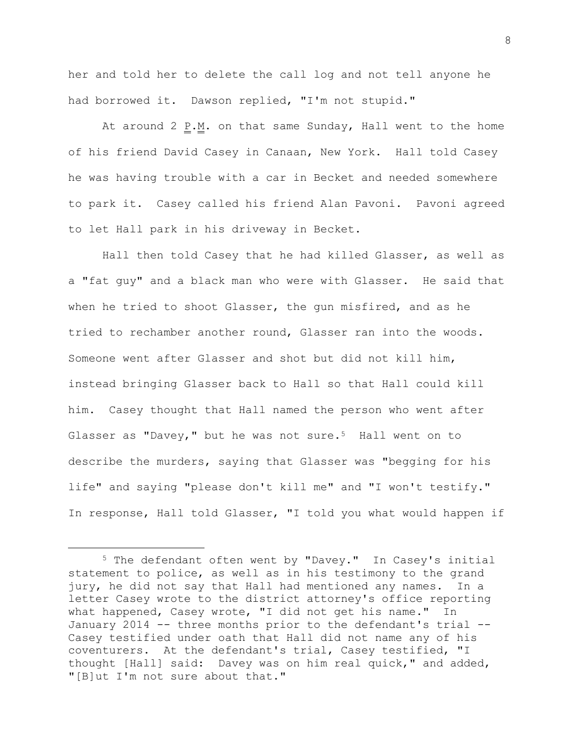her and told her to delete the call log and not tell anyone he had borrowed it. Dawson replied, "I'm not stupid."

At around 2 P.M. on that same Sunday, Hall went to the home of his friend David Casey in Canaan, New York. Hall told Casey he was having trouble with a car in Becket and needed somewhere to park it. Casey called his friend Alan Pavoni. Pavoni agreed to let Hall park in his driveway in Becket.

Hall then told Casey that he had killed Glasser, as well as a "fat guy" and a black man who were with Glasser. He said that when he tried to shoot Glasser, the gun misfired, and as he tried to rechamber another round, Glasser ran into the woods. Someone went after Glasser and shot but did not kill him, instead bringing Glasser back to Hall so that Hall could kill him. Casey thought that Hall named the person who went after Glasser as "Davey," but he was not sure.<sup>5</sup> Hall went on to describe the murders, saying that Glasser was "begging for his life" and saying "please don't kill me" and "I won't testify." In response, Hall told Glasser, "I told you what would happen if

<sup>5</sup> The defendant often went by "Davey." In Casey's initial statement to police, as well as in his testimony to the grand jury, he did not say that Hall had mentioned any names. In a letter Casey wrote to the district attorney's office reporting what happened, Casey wrote, "I did not get his name." In January 2014 -- three months prior to the defendant's trial -- Casey testified under oath that Hall did not name any of his coventurers. At the defendant's trial, Casey testified, "I thought [Hall] said: Davey was on him real quick," and added, "[B]ut I'm not sure about that."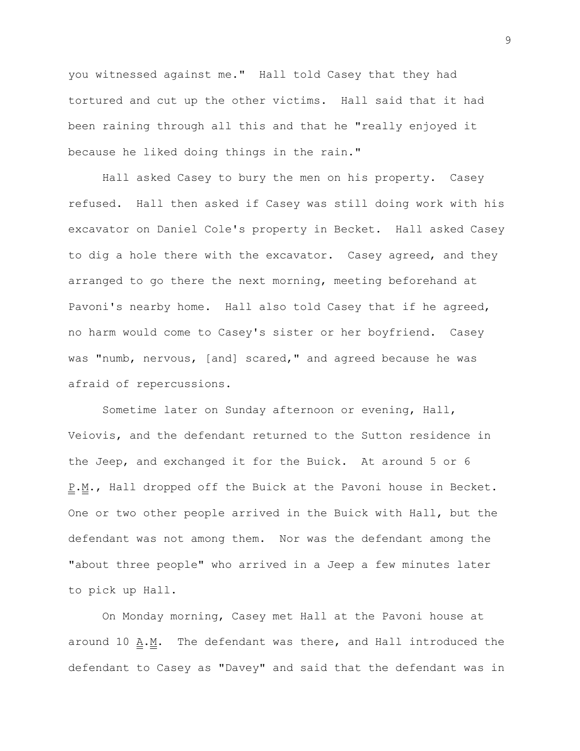you witnessed against me." Hall told Casey that they had tortured and cut up the other victims. Hall said that it had been raining through all this and that he "really enjoyed it because he liked doing things in the rain."

Hall asked Casey to bury the men on his property. Casey refused. Hall then asked if Casey was still doing work with his excavator on Daniel Cole's property in Becket. Hall asked Casey to dig a hole there with the excavator. Casey agreed, and they arranged to go there the next morning, meeting beforehand at Pavoni's nearby home. Hall also told Casey that if he agreed, no harm would come to Casey's sister or her boyfriend. Casey was "numb, nervous, [and] scared," and agreed because he was afraid of repercussions.

Sometime later on Sunday afternoon or evening, Hall, Veiovis, and the defendant returned to the Sutton residence in the Jeep, and exchanged it for the Buick. At around 5 or 6 P.M., Hall dropped off the Buick at the Pavoni house in Becket. One or two other people arrived in the Buick with Hall, but the defendant was not among them. Nor was the defendant among the "about three people" who arrived in a Jeep a few minutes later to pick up Hall.

On Monday morning, Casey met Hall at the Pavoni house at around 10 A.M. The defendant was there, and Hall introduced the defendant to Casey as "Davey" and said that the defendant was in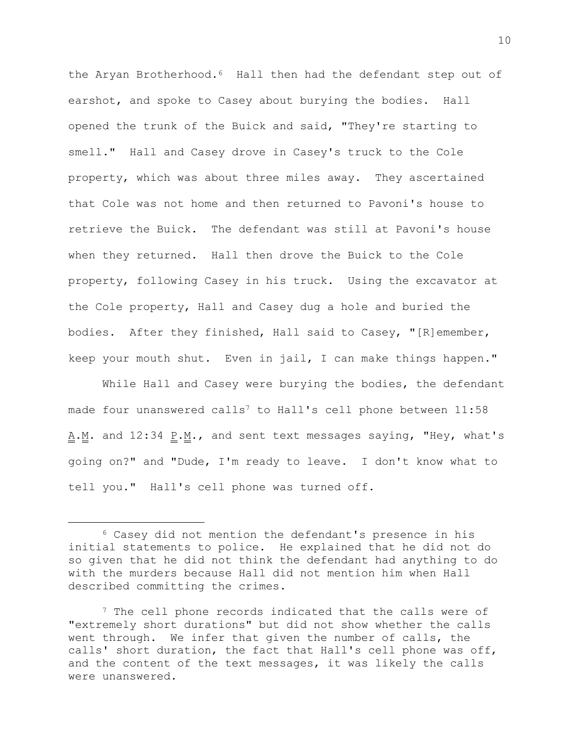the Aryan Brotherhood.<sup>6</sup> Hall then had the defendant step out of earshot, and spoke to Casey about burying the bodies. Hall opened the trunk of the Buick and said, "They're starting to smell." Hall and Casey drove in Casey's truck to the Cole property, which was about three miles away. They ascertained that Cole was not home and then returned to Pavoni's house to retrieve the Buick. The defendant was still at Pavoni's house when they returned. Hall then drove the Buick to the Cole property, following Casey in his truck. Using the excavator at the Cole property, Hall and Casey dug a hole and buried the bodies. After they finished, Hall said to Casey, "[R]emember, keep your mouth shut. Even in jail, I can make things happen."

While Hall and Casey were burying the bodies, the defendant made four unanswered calls<sup>7</sup> to Hall's cell phone between  $11:58$  $\underline{A.M.}$  and 12:34  $\underline{P.M.}$ , and sent text messages saying, "Hey, what's going on?" and "Dude, I'm ready to leave. I don't know what to tell you." Hall's cell phone was turned off.

<sup>6</sup> Casey did not mention the defendant's presence in his initial statements to police. He explained that he did not do so given that he did not think the defendant had anything to do with the murders because Hall did not mention him when Hall described committing the crimes.

<sup>&</sup>lt;sup>7</sup> The cell phone records indicated that the calls were of "extremely short durations" but did not show whether the calls went through. We infer that given the number of calls, the calls' short duration, the fact that Hall's cell phone was off, and the content of the text messages, it was likely the calls were unanswered.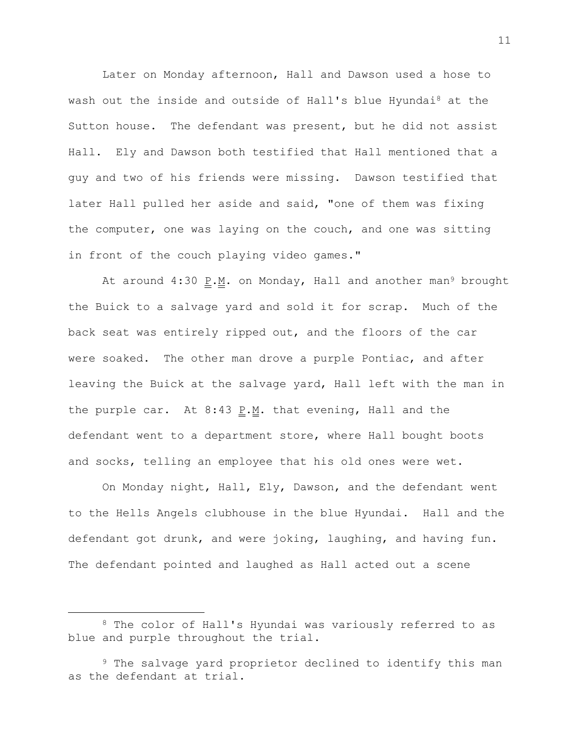Later on Monday afternoon, Hall and Dawson used a hose to wash out the inside and outside of Hall's blue Hyundai<sup>8</sup> at the Sutton house. The defendant was present, but he did not assist Hall. Ely and Dawson both testified that Hall mentioned that a guy and two of his friends were missing. Dawson testified that later Hall pulled her aside and said, "one of them was fixing the computer, one was laying on the couch, and one was sitting in front of the couch playing video games."

At around  $4:30$  P.M. on Monday, Hall and another man<sup>9</sup> brought the Buick to a salvage yard and sold it for scrap. Much of the back seat was entirely ripped out, and the floors of the car were soaked. The other man drove a purple Pontiac, and after leaving the Buick at the salvage yard, Hall left with the man in the purple car. At  $8:43$  P.M. that evening, Hall and the defendant went to a department store, where Hall bought boots and socks, telling an employee that his old ones were wet.

On Monday night, Hall, Ely, Dawson, and the defendant went to the Hells Angels clubhouse in the blue Hyundai. Hall and the defendant got drunk, and were joking, laughing, and having fun. The defendant pointed and laughed as Hall acted out a scene

L,

<sup>8</sup> The color of Hall's Hyundai was variously referred to as blue and purple throughout the trial.

<sup>&</sup>lt;sup>9</sup> The salvage yard proprietor declined to identify this man as the defendant at trial.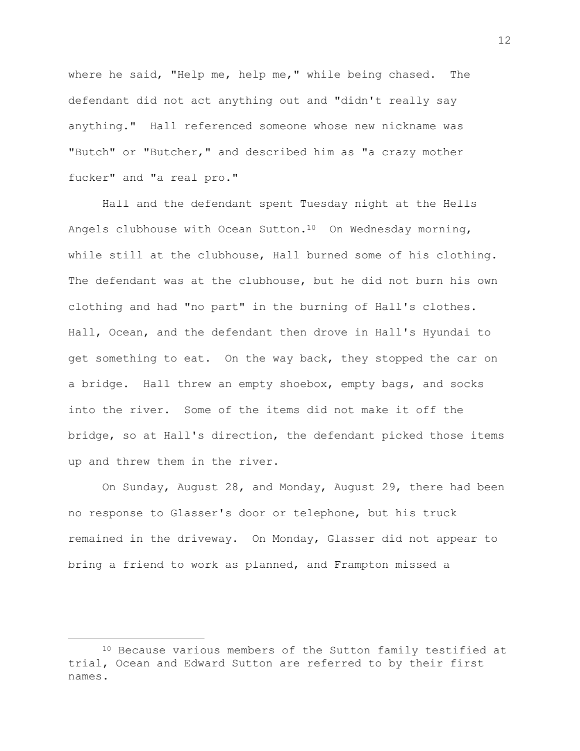where he said, "Help me, help me," while being chased. The defendant did not act anything out and "didn't really say anything." Hall referenced someone whose new nickname was "Butch" or "Butcher," and described him as "a crazy mother fucker" and "a real pro."

Hall and the defendant spent Tuesday night at the Hells Angels clubhouse with Ocean Sutton.10 On Wednesday morning, while still at the clubhouse, Hall burned some of his clothing. The defendant was at the clubhouse, but he did not burn his own clothing and had "no part" in the burning of Hall's clothes. Hall, Ocean, and the defendant then drove in Hall's Hyundai to get something to eat. On the way back, they stopped the car on a bridge. Hall threw an empty shoebox, empty bags, and socks into the river. Some of the items did not make it off the bridge, so at Hall's direction, the defendant picked those items up and threw them in the river.

On Sunday, August 28, and Monday, August 29, there had been no response to Glasser's door or telephone, but his truck remained in the driveway. On Monday, Glasser did not appear to bring a friend to work as planned, and Frampton missed a

<sup>10</sup> Because various members of the Sutton family testified at trial, Ocean and Edward Sutton are referred to by their first names.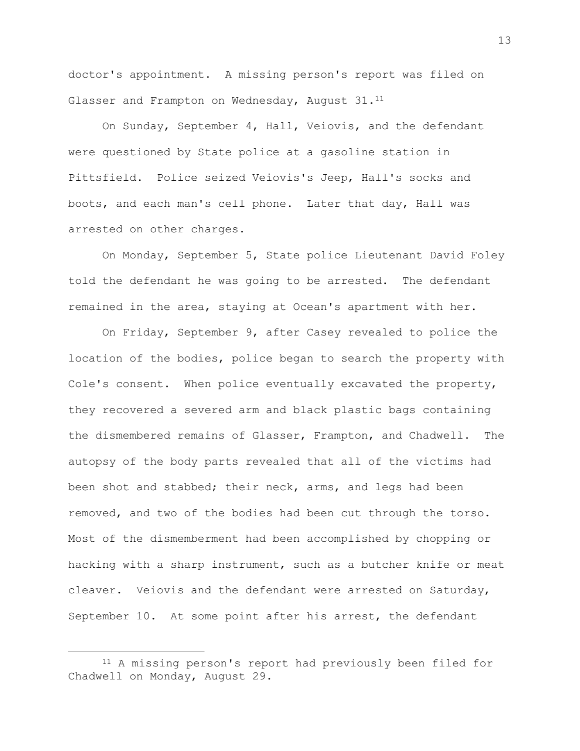doctor's appointment. A missing person's report was filed on Glasser and Frampton on Wednesday, August 31.<sup>11</sup>

On Sunday, September 4, Hall, Veiovis, and the defendant were questioned by State police at a gasoline station in Pittsfield. Police seized Veiovis's Jeep, Hall's socks and boots, and each man's cell phone. Later that day, Hall was arrested on other charges.

On Monday, September 5, State police Lieutenant David Foley told the defendant he was going to be arrested. The defendant remained in the area, staying at Ocean's apartment with her.

On Friday, September 9, after Casey revealed to police the location of the bodies, police began to search the property with Cole's consent. When police eventually excavated the property, they recovered a severed arm and black plastic bags containing the dismembered remains of Glasser, Frampton, and Chadwell. The autopsy of the body parts revealed that all of the victims had been shot and stabbed; their neck, arms, and legs had been removed, and two of the bodies had been cut through the torso. Most of the dismemberment had been accomplished by chopping or hacking with a sharp instrument, such as a butcher knife or meat cleaver. Veiovis and the defendant were arrested on Saturday, September 10. At some point after his arrest, the defendant

a<br>B

13

<sup>11</sup> A missing person's report had previously been filed for Chadwell on Monday, August 29.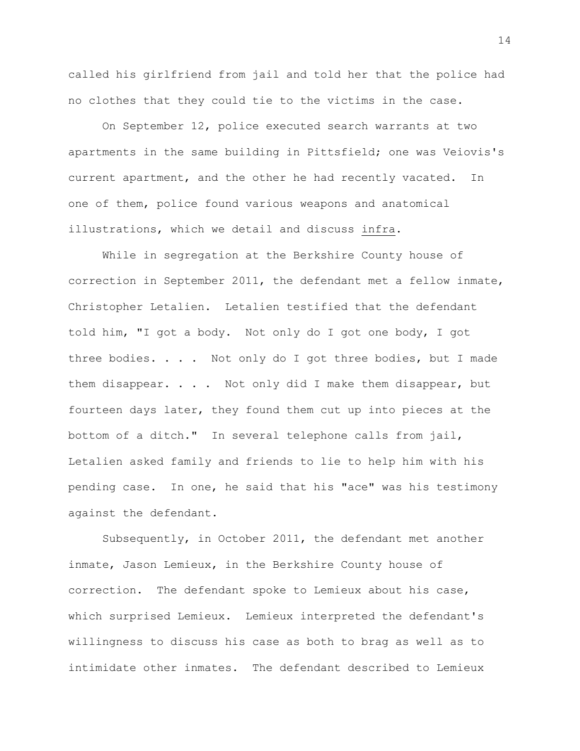called his girlfriend from jail and told her that the police had no clothes that they could tie to the victims in the case.

On September 12, police executed search warrants at two apartments in the same building in Pittsfield; one was Veiovis's current apartment, and the other he had recently vacated. In one of them, police found various weapons and anatomical illustrations, which we detail and discuss infra.

While in segregation at the Berkshire County house of correction in September 2011, the defendant met a fellow inmate, Christopher Letalien. Letalien testified that the defendant told him, "I got a body. Not only do I got one body, I got three bodies. . . . Not only do I got three bodies, but I made them disappear. . . . Not only did I make them disappear, but fourteen days later, they found them cut up into pieces at the bottom of a ditch." In several telephone calls from jail, Letalien asked family and friends to lie to help him with his pending case. In one, he said that his "ace" was his testimony against the defendant.

Subsequently, in October 2011, the defendant met another inmate, Jason Lemieux, in the Berkshire County house of correction. The defendant spoke to Lemieux about his case, which surprised Lemieux. Lemieux interpreted the defendant's willingness to discuss his case as both to brag as well as to intimidate other inmates. The defendant described to Lemieux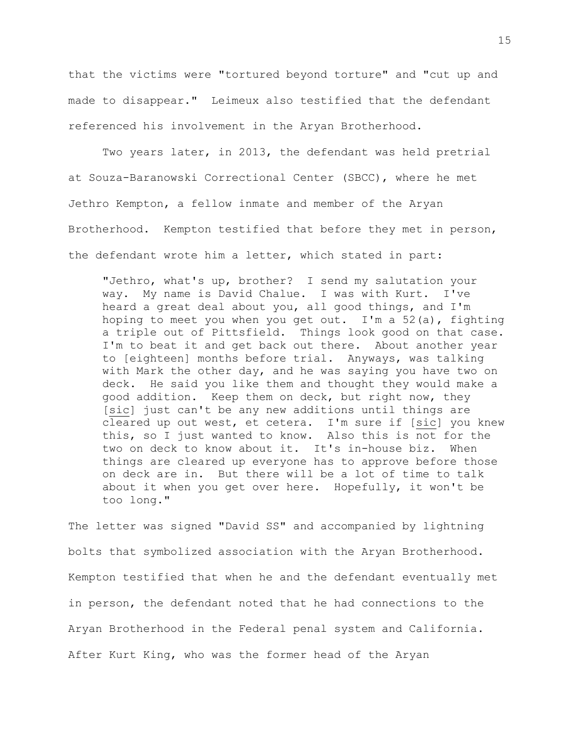that the victims were "tortured beyond torture" and "cut up and made to disappear." Leimeux also testified that the defendant referenced his involvement in the Aryan Brotherhood.

Two years later, in 2013, the defendant was held pretrial at Souza-Baranowski Correctional Center (SBCC), where he met Jethro Kempton, a fellow inmate and member of the Aryan Brotherhood. Kempton testified that before they met in person, the defendant wrote him a letter, which stated in part:

"Jethro, what's up, brother? I send my salutation your way. My name is David Chalue. I was with Kurt. I've heard a great deal about you, all good things, and I'm hoping to meet you when you get out. I'm a  $52(a)$ , fighting a triple out of Pittsfield. Things look good on that case. I'm to beat it and get back out there. About another year to [eighteen] months before trial. Anyways, was talking with Mark the other day, and he was saying you have two on deck. He said you like them and thought they would make a good addition. Keep them on deck, but right now, they [sic] just can't be any new additions until things are cleared up out west, et cetera. I'm sure if [sic] you knew this, so I just wanted to know. Also this is not for the two on deck to know about it. It's in-house biz. When things are cleared up everyone has to approve before those on deck are in. But there will be a lot of time to talk about it when you get over here. Hopefully, it won't be too long."

The letter was signed "David SS" and accompanied by lightning bolts that symbolized association with the Aryan Brotherhood. Kempton testified that when he and the defendant eventually met in person, the defendant noted that he had connections to the Aryan Brotherhood in the Federal penal system and California. After Kurt King, who was the former head of the Aryan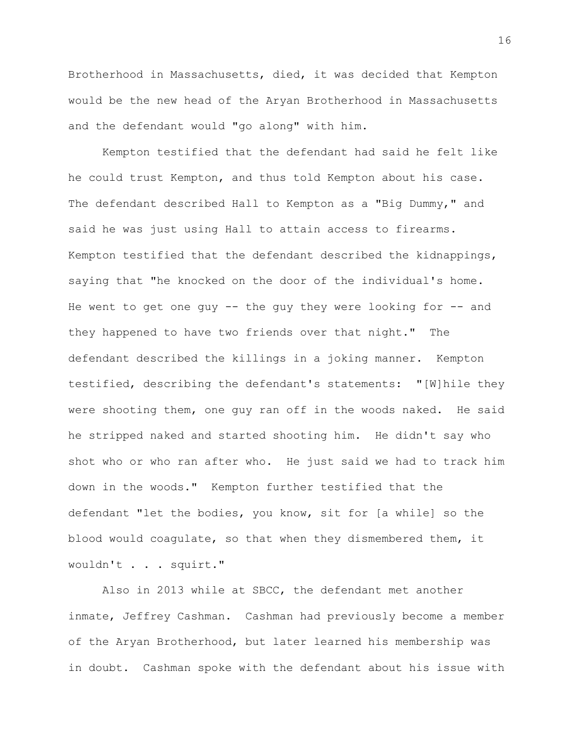Brotherhood in Massachusetts, died, it was decided that Kempton would be the new head of the Aryan Brotherhood in Massachusetts and the defendant would "go along" with him.

Kempton testified that the defendant had said he felt like he could trust Kempton, and thus told Kempton about his case. The defendant described Hall to Kempton as a "Big Dummy," and said he was just using Hall to attain access to firearms. Kempton testified that the defendant described the kidnappings, saying that "he knocked on the door of the individual's home. He went to get one guy  $-$ - the guy they were looking for  $-$ - and they happened to have two friends over that night." The defendant described the killings in a joking manner. Kempton testified, describing the defendant's statements: "[W]hile they were shooting them, one guy ran off in the woods naked. He said he stripped naked and started shooting him. He didn't say who shot who or who ran after who. He just said we had to track him down in the woods." Kempton further testified that the defendant "let the bodies, you know, sit for [a while] so the blood would coagulate, so that when they dismembered them, it wouldn't . . . squirt."

Also in 2013 while at SBCC, the defendant met another inmate, Jeffrey Cashman. Cashman had previously become a member of the Aryan Brotherhood, but later learned his membership was in doubt. Cashman spoke with the defendant about his issue with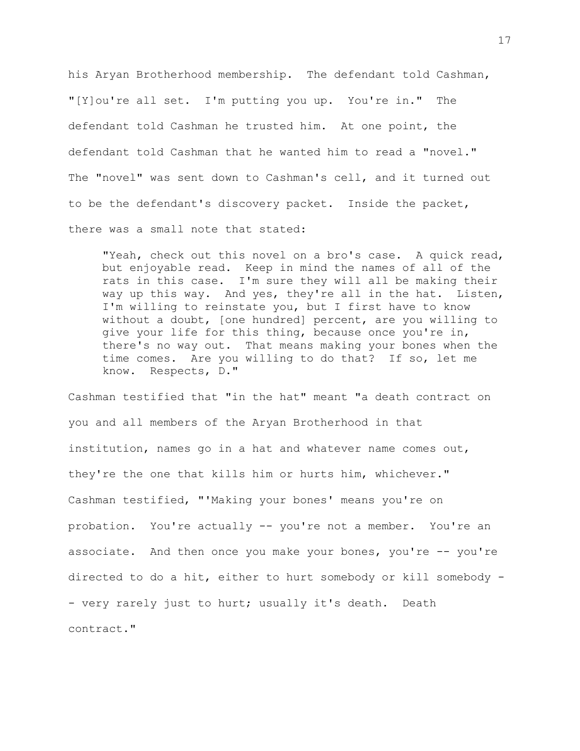his Aryan Brotherhood membership. The defendant told Cashman, "[Y]ou're all set. I'm putting you up. You're in." The defendant told Cashman he trusted him. At one point, the defendant told Cashman that he wanted him to read a "novel." The "novel" was sent down to Cashman's cell, and it turned out to be the defendant's discovery packet. Inside the packet, there was a small note that stated:

"Yeah, check out this novel on a bro's case. A quick read, but enjoyable read. Keep in mind the names of all of the rats in this case. I'm sure they will all be making their way up this way. And yes, they're all in the hat. Listen, I'm willing to reinstate you, but I first have to know without a doubt, [one hundred] percent, are you willing to give your life for this thing, because once you're in, there's no way out. That means making your bones when the time comes. Are you willing to do that? If so, let me know. Respects, D."

Cashman testified that "in the hat" meant "a death contract on you and all members of the Aryan Brotherhood in that institution, names go in a hat and whatever name comes out, they're the one that kills him or hurts him, whichever." Cashman testified, "'Making your bones' means you're on probation. You're actually -- you're not a member. You're an associate. And then once you make your bones, you're -- you're directed to do a hit, either to hurt somebody or kill somebody - - very rarely just to hurt; usually it's death. Death contract."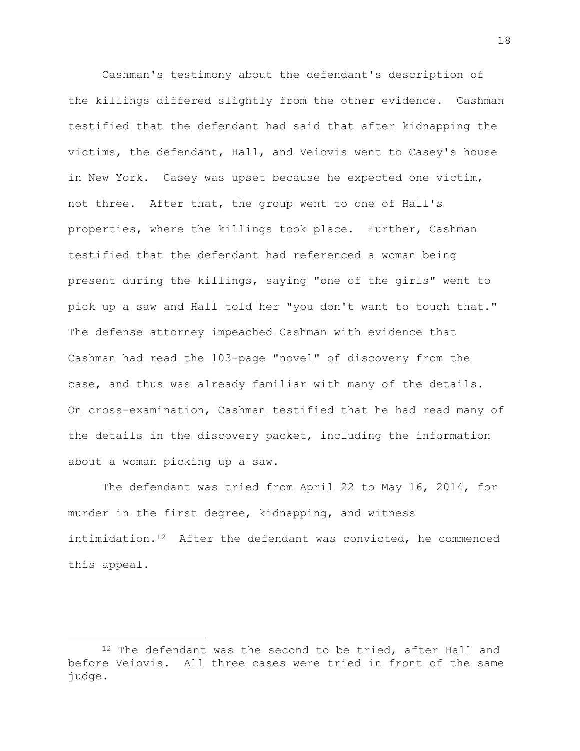Cashman's testimony about the defendant's description of the killings differed slightly from the other evidence. Cashman testified that the defendant had said that after kidnapping the victims, the defendant, Hall, and Veiovis went to Casey's house in New York. Casey was upset because he expected one victim, not three. After that, the group went to one of Hall's properties, where the killings took place. Further, Cashman testified that the defendant had referenced a woman being present during the killings, saying "one of the girls" went to pick up a saw and Hall told her "you don't want to touch that." The defense attorney impeached Cashman with evidence that Cashman had read the 103-page "novel" of discovery from the case, and thus was already familiar with many of the details. On cross-examination, Cashman testified that he had read many of the details in the discovery packet, including the information about a woman picking up a saw.

The defendant was tried from April 22 to May 16, 2014, for murder in the first degree, kidnapping, and witness intimidation.<sup>12</sup> After the defendant was convicted, he commenced this appeal.

<sup>&</sup>lt;sup>12</sup> The defendant was the second to be tried, after Hall and before Veiovis. All three cases were tried in front of the same judge.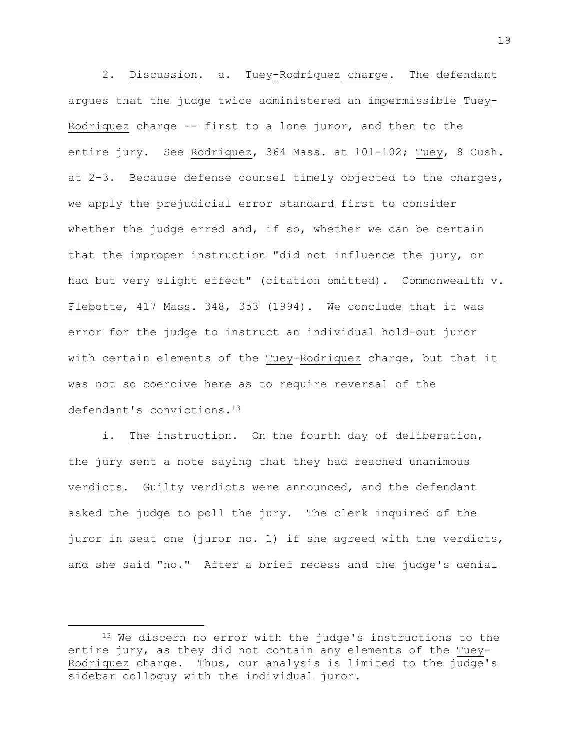2. Discussion. a. Tuey-Rodriquez charge. The defendant argues that the judge twice administered an impermissible Tuey-Rodriquez charge -- first to a lone juror, and then to the entire jury. See Rodriquez, 364 Mass. at 101-102; Tuey, 8 Cush. at 2-3. Because defense counsel timely objected to the charges, we apply the prejudicial error standard first to consider whether the judge erred and, if so, whether we can be certain that the improper instruction "did not influence the jury, or had but very slight effect" (citation omitted). Commonwealth v. Flebotte, 417 Mass. 348, 353 (1994). We conclude that it was error for the judge to instruct an individual hold-out juror with certain elements of the Tuey-Rodriquez charge, but that it was not so coercive here as to require reversal of the defendant's convictions.<sup>13</sup>

i. The instruction. On the fourth day of deliberation, the jury sent a note saying that they had reached unanimous verdicts. Guilty verdicts were announced, and the defendant asked the judge to poll the jury. The clerk inquired of the juror in seat one (juror no. 1) if she agreed with the verdicts, and she said "no." After a brief recess and the judge's denial

<sup>&</sup>lt;sup>13</sup> We discern no error with the judge's instructions to the entire jury, as they did not contain any elements of the Tuey-Rodriquez charge. Thus, our analysis is limited to the judge's sidebar colloquy with the individual juror.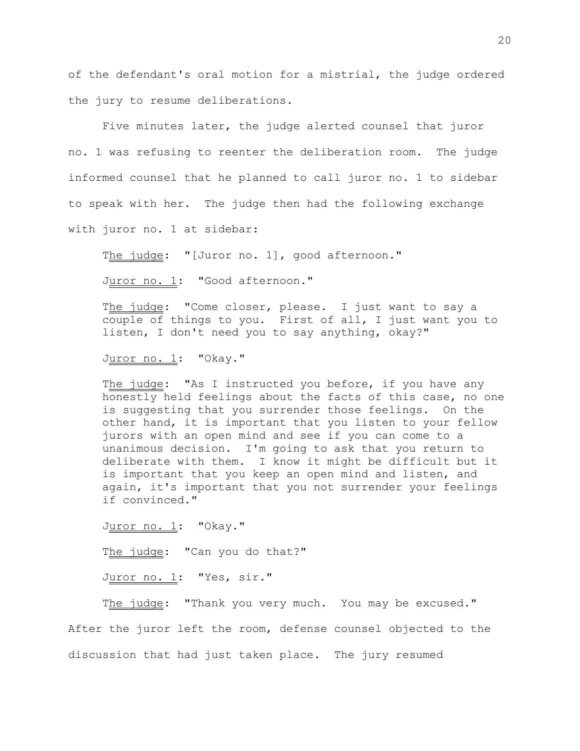of the defendant's oral motion for a mistrial, the judge ordered the jury to resume deliberations.

Five minutes later, the judge alerted counsel that juror no. 1 was refusing to reenter the deliberation room. The judge informed counsel that he planned to call juror no. 1 to sidebar to speak with her. The judge then had the following exchange with juror no. 1 at sidebar:

The judge: "[Juror no. 1], good afternoon."

Juror no. 1: "Good afternoon."

The judge: "Come closer, please. I just want to say a couple of things to you. First of all, I just want you to listen, I don't need you to say anything, okay?"

Juror no. 1: "Okay."

The judge: "As I instructed you before, if you have any honestly held feelings about the facts of this case, no one is suggesting that you surrender those feelings. On the other hand, it is important that you listen to your fellow jurors with an open mind and see if you can come to a unanimous decision. I'm going to ask that you return to deliberate with them. I know it might be difficult but it is important that you keep an open mind and listen, and again, it's important that you not surrender your feelings if convinced."

Juror no. 1: "Okay."

The judge: "Can you do that?"

Juror no. 1: "Yes, sir."

The judge: "Thank you very much. You may be excused." After the juror left the room, defense counsel objected to the discussion that had just taken place. The jury resumed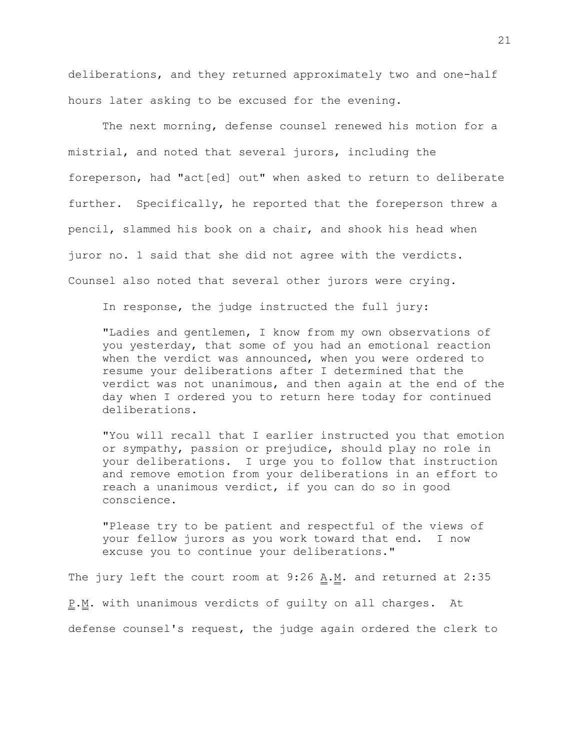deliberations, and they returned approximately two and one-half hours later asking to be excused for the evening.

The next morning, defense counsel renewed his motion for a mistrial, and noted that several jurors, including the foreperson, had "act[ed] out" when asked to return to deliberate further. Specifically, he reported that the foreperson threw a pencil, slammed his book on a chair, and shook his head when juror no. 1 said that she did not agree with the verdicts. Counsel also noted that several other jurors were crying.

In response, the judge instructed the full jury:

"Ladies and gentlemen, I know from my own observations of you yesterday, that some of you had an emotional reaction when the verdict was announced, when you were ordered to resume your deliberations after I determined that the verdict was not unanimous, and then again at the end of the day when I ordered you to return here today for continued deliberations.

"You will recall that I earlier instructed you that emotion or sympathy, passion or prejudice, should play no role in your deliberations. I urge you to follow that instruction and remove emotion from your deliberations in an effort to reach a unanimous verdict, if you can do so in good conscience.

"Please try to be patient and respectful of the views of your fellow jurors as you work toward that end. I now excuse you to continue your deliberations."

The jury left the court room at  $9:26$  A.M. and returned at 2:35 P.M. with unanimous verdicts of quilty on all charges. At defense counsel's request, the judge again ordered the clerk to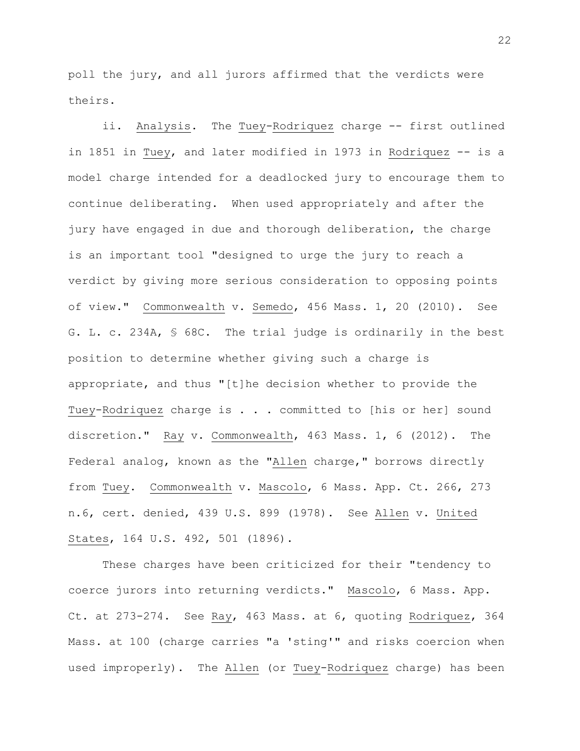poll the jury, and all jurors affirmed that the verdicts were theirs.

ii. Analysis. The Tuey-Rodriquez charge -- first outlined in 1851 in Tuey, and later modified in 1973 in Rodriquez -- is a model charge intended for a deadlocked jury to encourage them to continue deliberating. When used appropriately and after the jury have engaged in due and thorough deliberation, the charge is an important tool "designed to urge the jury to reach a verdict by giving more serious consideration to opposing points of view." Commonwealth v. Semedo, 456 Mass. 1, 20 (2010). See G. L. c. 234A, § 68C. The trial judge is ordinarily in the best position to determine whether giving such a charge is appropriate, and thus "[t]he decision whether to provide the Tuey-Rodriquez charge is . . . committed to [his or her] sound discretion." Ray v. Commonwealth, 463 Mass. 1, 6 (2012). The Federal analog, known as the "Allen charge," borrows directly from Tuey. Commonwealth v. Mascolo, 6 Mass. App. Ct. 266, 273 n.6, cert. denied, 439 U.S. 899 (1978). See Allen v. United States, 164 U.S. 492, 501 (1896).

These charges have been criticized for their "tendency to coerce jurors into returning verdicts." Mascolo, 6 Mass. App. Ct. at 273-274. See Ray, 463 Mass. at 6, quoting Rodriquez, 364 Mass. at 100 (charge carries "a 'sting'" and risks coercion when used improperly). The Allen (or Tuey-Rodriquez charge) has been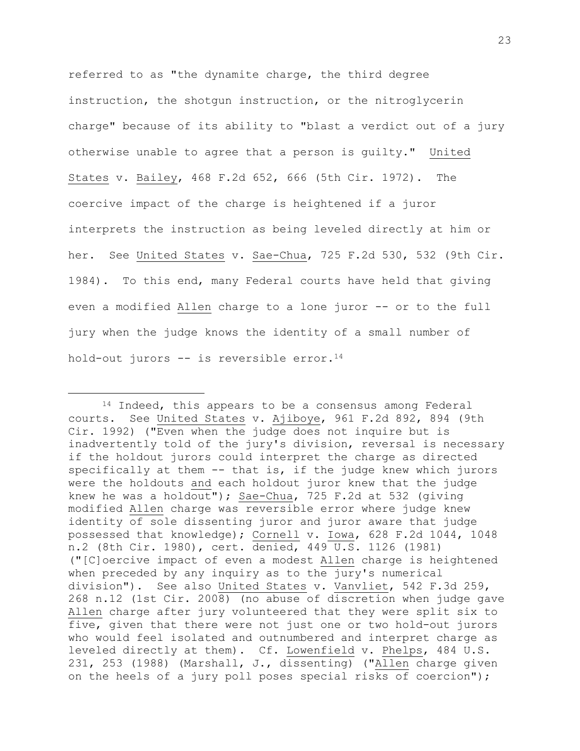referred to as "the dynamite charge, the third degree instruction, the shotgun instruction, or the nitroglycerin charge" because of its ability to "blast a verdict out of a jury otherwise unable to agree that a person is guilty." United States v. Bailey, 468 F.2d 652, 666 (5th Cir. 1972). The coercive impact of the charge is heightened if a juror interprets the instruction as being leveled directly at him or her. See United States v. Sae-Chua, 725 F.2d 530, 532 (9th Cir. 1984). To this end, many Federal courts have held that giving even a modified Allen charge to a lone juror -- or to the full jury when the judge knows the identity of a small number of hold-out jurors  $--$  is reversible error.<sup>14</sup>

<sup>&</sup>lt;sup>14</sup> Indeed, this appears to be a consensus among Federal courts. See United States v. Ajiboye, 961 F.2d 892, 894 (9th Cir. 1992) ("Even when the judge does not inquire but is inadvertently told of the jury's division, reversal is necessary if the holdout jurors could interpret the charge as directed specifically at them -- that is, if the judge knew which jurors were the holdouts and each holdout juror knew that the judge knew he was a holdout"); Sae-Chua, 725 F.2d at 532 (giving modified Allen charge was reversible error where judge knew identity of sole dissenting juror and juror aware that judge possessed that knowledge); Cornell v. Iowa, 628 F.2d 1044, 1048 n.2 (8th Cir. 1980), cert. denied, 449 U.S. 1126 (1981) ("[C]oercive impact of even a modest Allen charge is heightened when preceded by any inquiry as to the jury's numerical division"). See also United States v. Vanvliet, 542 F.3d 259, 268 n.12 (1st Cir. 2008) (no abuse of discretion when judge gave Allen charge after jury volunteered that they were split six to five, given that there were not just one or two hold-out jurors who would feel isolated and outnumbered and interpret charge as leveled directly at them). Cf. Lowenfield v. Phelps, 484 U.S. 231, 253 (1988) (Marshall, J., dissenting) ("Allen charge given on the heels of a jury poll poses special risks of coercion");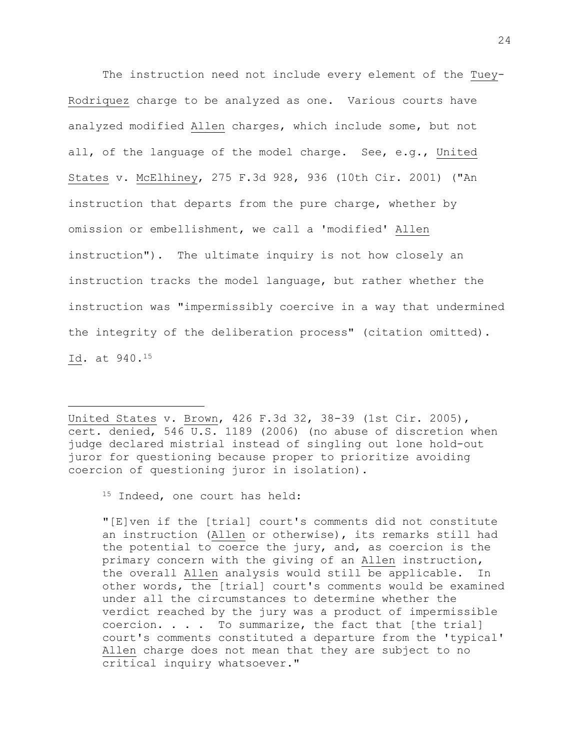The instruction need not include every element of the Tuey-Rodriquez charge to be analyzed as one. Various courts have analyzed modified Allen charges, which include some, but not all, of the language of the model charge. See, e.g., United States v. McElhiney, 275 F.3d 928, 936 (10th Cir. 2001) ("An instruction that departs from the pure charge, whether by omission or embellishment, we call a 'modified' Allen instruction"). The ultimate inquiry is not how closely an instruction tracks the model language, but rather whether the instruction was "impermissibly coercive in a way that undermined the integrity of the deliberation process" (citation omitted). Id. at 940.<sup>15</sup>

United States v. Brown, 426 F.3d 32, 38-39 (1st Cir. 2005), cert. denied, 546 U.S. 1189 (2006) (no abuse of discretion when judge declared mistrial instead of singling out lone hold-out juror for questioning because proper to prioritize avoiding coercion of questioning juror in isolation).

15 Indeed, one court has held:

L,

"[E]ven if the [trial] court's comments did not constitute an instruction (Allen or otherwise), its remarks still had the potential to coerce the jury, and, as coercion is the primary concern with the giving of an Allen instruction, the overall Allen analysis would still be applicable. In other words, the [trial] court's comments would be examined under all the circumstances to determine whether the verdict reached by the jury was a product of impermissible coercion.  $\ldots$  . To summarize, the fact that [the trial] court's comments constituted a departure from the 'typical' Allen charge does not mean that they are subject to no critical inquiry whatsoever."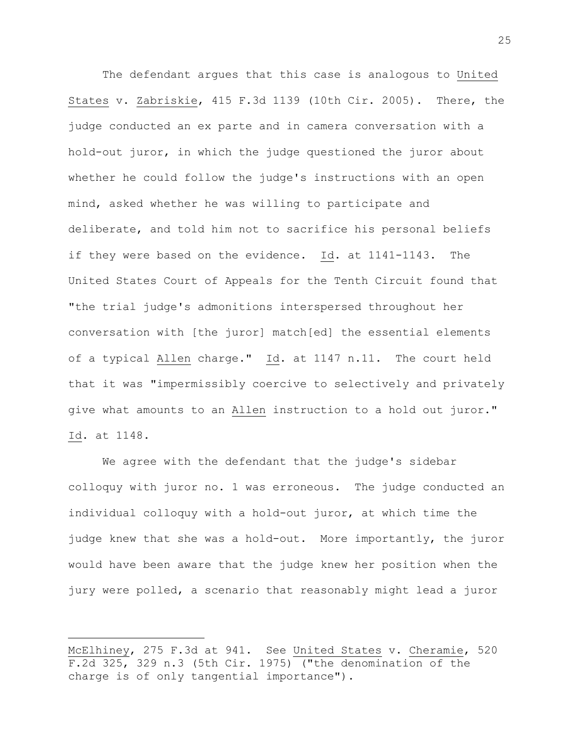The defendant argues that this case is analogous to United States v. Zabriskie, 415 F.3d 1139 (10th Cir. 2005). There, the judge conducted an ex parte and in camera conversation with a hold-out juror, in which the judge questioned the juror about whether he could follow the judge's instructions with an open mind, asked whether he was willing to participate and deliberate, and told him not to sacrifice his personal beliefs if they were based on the evidence. Id. at 1141-1143. The United States Court of Appeals for the Tenth Circuit found that "the trial judge's admonitions interspersed throughout her conversation with [the juror] match[ed] the essential elements of a typical Allen charge." Id. at 1147 n.11. The court held that it was "impermissibly coercive to selectively and privately give what amounts to an Allen instruction to a hold out juror." Id. at 1148.

We agree with the defendant that the judge's sidebar colloquy with juror no. 1 was erroneous. The judge conducted an individual colloquy with a hold-out juror, at which time the judge knew that she was a hold-out. More importantly, the juror would have been aware that the judge knew her position when the jury were polled, a scenario that reasonably might lead a juror

McElhiney, 275 F.3d at 941. See United States v. Cheramie, 520 F.2d 325, 329 n.3 (5th Cir. 1975) ("the denomination of the charge is of only tangential importance").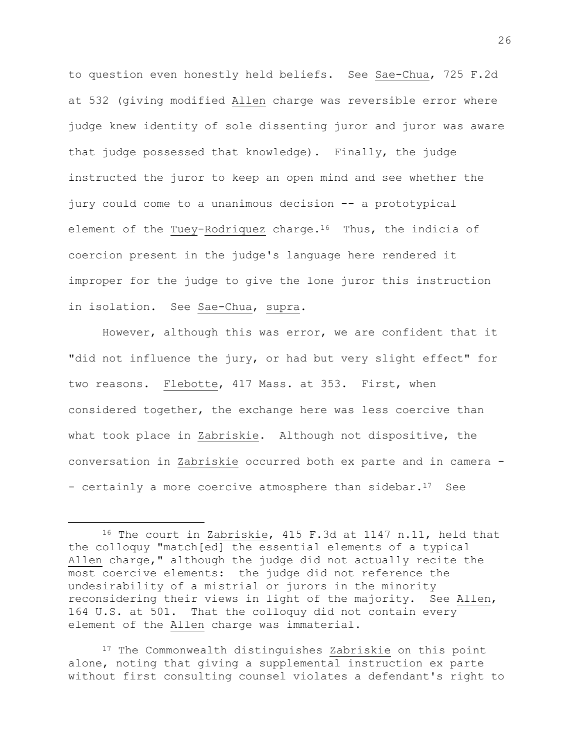to question even honestly held beliefs. See Sae-Chua, 725 F.2d at 532 (giving modified Allen charge was reversible error where judge knew identity of sole dissenting juror and juror was aware that judge possessed that knowledge). Finally, the judge instructed the juror to keep an open mind and see whether the jury could come to a unanimous decision -- a prototypical element of the Tuey-Rodriquez charge.<sup>16</sup> Thus, the indicia of coercion present in the judge's language here rendered it improper for the judge to give the lone juror this instruction in isolation. See Sae-Chua, supra.

However, although this was error, we are confident that it "did not influence the jury, or had but very slight effect" for two reasons. Flebotte, 417 Mass. at 353. First, when considered together, the exchange here was less coercive than what took place in Zabriskie. Although not dispositive, the conversation in Zabriskie occurred both ex parte and in camera - - certainly a more coercive atmosphere than sidebar.<sup>17</sup> See

a<br>B

<sup>17</sup> The Commonwealth distinguishes Zabriskie on this point alone, noting that giving a supplemental instruction ex parte without first consulting counsel violates a defendant's right to

<sup>16</sup> The court in Zabriskie, 415 F.3d at 1147 n.11, held that the colloquy "match[ed] the essential elements of a typical Allen charge," although the judge did not actually recite the most coercive elements: the judge did not reference the undesirability of a mistrial or jurors in the minority reconsidering their views in light of the majority. See Allen, 164 U.S. at 501. That the colloquy did not contain every element of the Allen charge was immaterial.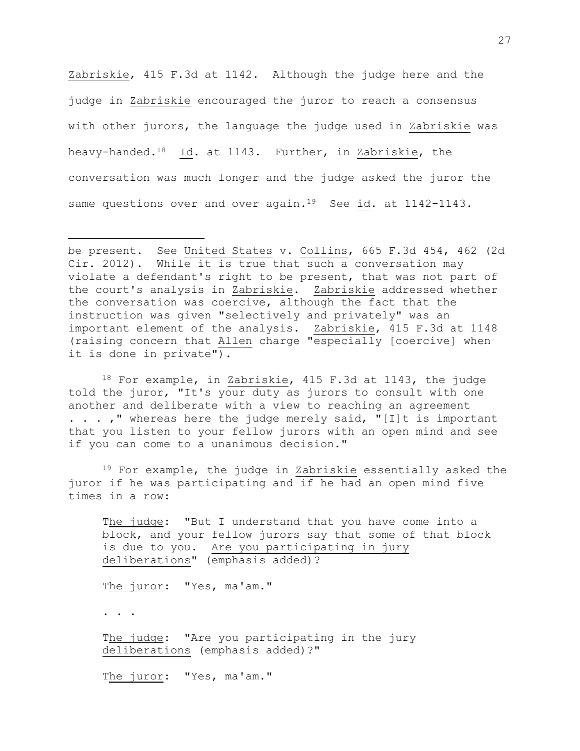Zabriskie, 415 F.3d at 1142. Although the judge here and the judge in Zabriskie encouraged the juror to reach a consensus with other jurors, the language the judge used in Zabriskie was heavy-handed.18 Id. at 1143. Further, in Zabriskie, the conversation was much longer and the judge asked the juror the same questions over and over again.<sup>19</sup> See id. at 1142-1143.

<sup>18</sup> For example, in Zabriskie, 415 F.3d at 1143, the judge told the juror, "It's your duty as jurors to consult with one another and deliberate with a view to reaching an agreement . . . , " whereas here the judge merely said, "[I]t is important that you listen to your fellow jurors with an open mind and see if you can come to a unanimous decision."

<sup>19</sup> For example, the judge in Zabriskie essentially asked the juror if he was participating and if he had an open mind five times in a row:

The judge: "But I understand that you have come into a block, and your fellow jurors say that some of that block is due to you. Are you participating in jury deliberations" (emphasis added)?

The juror: "Yes, ma'am."

. . .

a<br>B

The judge: "Are you participating in the jury deliberations (emphasis added)?"

The juror: "Yes, ma'am."

be present. See United States v. Collins, 665 F.3d 454, 462 (2d Cir. 2012). While it is true that such a conversation may violate a defendant's right to be present, that was not part of the court's analysis in Zabriskie. Zabriskie addressed whether the conversation was coercive, although the fact that the instruction was given "selectively and privately" was an important element of the analysis. Zabriskie, 415 F.3d at 1148 (raising concern that Allen charge "especially [coercive] when it is done in private").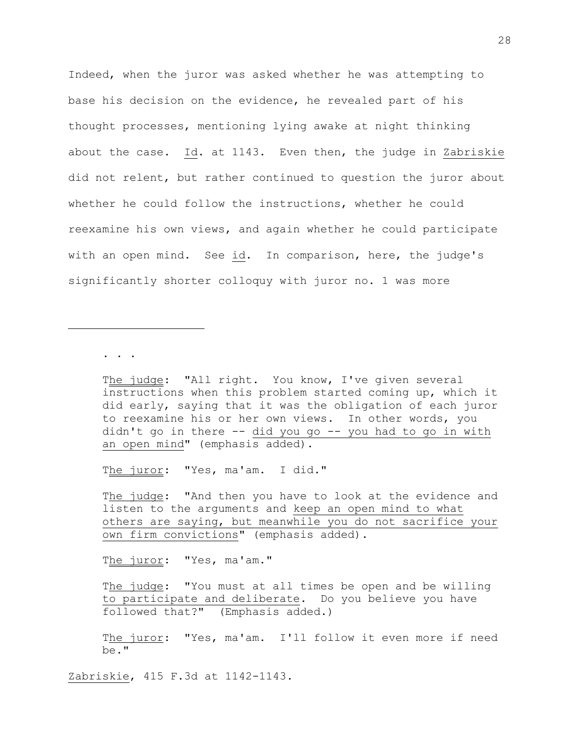Indeed, when the juror was asked whether he was attempting to base his decision on the evidence, he revealed part of his thought processes, mentioning lying awake at night thinking about the case. Id. at 1143. Even then, the judge in Zabriskie did not relent, but rather continued to question the juror about whether he could follow the instructions, whether he could reexamine his own views, and again whether he could participate with an open mind. See id. In comparison, here, the judge's significantly shorter colloquy with juror no. 1 was more

. . .

a<br>B

The judge: "All right. You know, I've given several instructions when this problem started coming up, which it did early, saying that it was the obligation of each juror to reexamine his or her own views. In other words, you didn't go in there -- did you go -- you had to go in with an open mind" (emphasis added).

The juror: "Yes, ma'am. I did."

The judge: "And then you have to look at the evidence and listen to the arguments and keep an open mind to what others are saying, but meanwhile you do not sacrifice your own firm convictions" (emphasis added).

The juror: "Yes, ma'am."

The judge: "You must at all times be open and be willing to participate and deliberate. Do you believe you have followed that?" (Emphasis added.)

The juror: "Yes, ma'am. I'll follow it even more if need be."

Zabriskie, 415 F.3d at 1142-1143.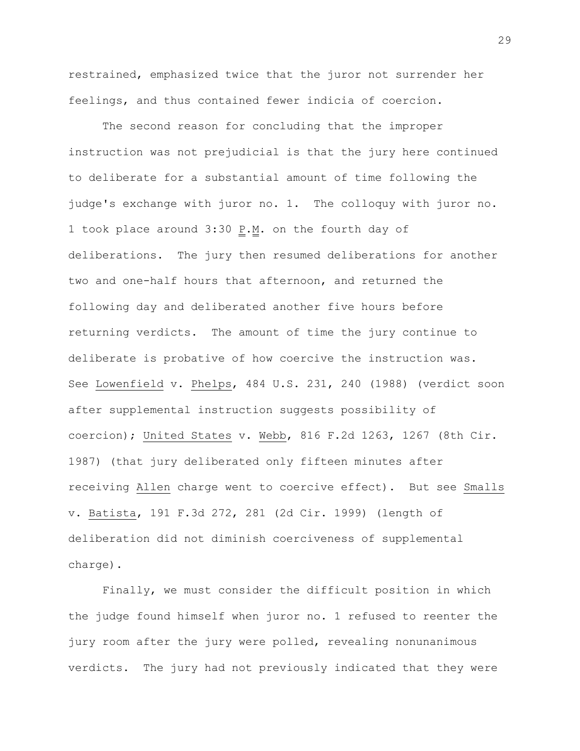restrained, emphasized twice that the juror not surrender her feelings, and thus contained fewer indicia of coercion.

The second reason for concluding that the improper instruction was not prejudicial is that the jury here continued to deliberate for a substantial amount of time following the judge's exchange with juror no. 1. The colloquy with juror no. 1 took place around  $3:30$  P.M. on the fourth day of deliberations. The jury then resumed deliberations for another two and one-half hours that afternoon, and returned the following day and deliberated another five hours before returning verdicts. The amount of time the jury continue to deliberate is probative of how coercive the instruction was. See Lowenfield v. Phelps, 484 U.S. 231, 240 (1988) (verdict soon after supplemental instruction suggests possibility of coercion); United States v. Webb, 816 F.2d 1263, 1267 (8th Cir. 1987) (that jury deliberated only fifteen minutes after receiving Allen charge went to coercive effect). But see Smalls v. Batista, 191 F.3d 272, 281 (2d Cir. 1999) (length of deliberation did not diminish coerciveness of supplemental charge).

Finally, we must consider the difficult position in which the judge found himself when juror no. 1 refused to reenter the jury room after the jury were polled, revealing nonunanimous verdicts. The jury had not previously indicated that they were

29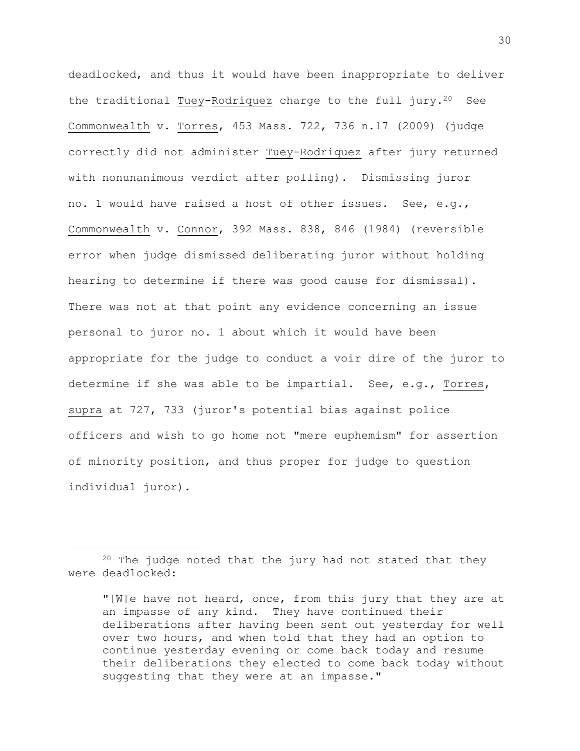deadlocked, and thus it would have been inappropriate to deliver the traditional Tuey-Rodriquez charge to the full  $jury.^{20}$  See Commonwealth v. Torres, 453 Mass. 722, 736 n.17 (2009) (judge correctly did not administer Tuey-Rodriquez after jury returned with nonunanimous verdict after polling). Dismissing juror no. 1 would have raised a host of other issues. See, e.g., Commonwealth v. Connor, 392 Mass. 838, 846 (1984) (reversible error when judge dismissed deliberating juror without holding hearing to determine if there was good cause for dismissal). There was not at that point any evidence concerning an issue personal to juror no. 1 about which it would have been appropriate for the judge to conduct a voir dire of the juror to determine if she was able to be impartial. See, e.g., Torres, supra at 727, 733 (juror's potential bias against police officers and wish to go home not "mere euphemism" for assertion of minority position, and thus proper for judge to question individual juror).

 $20$  The judge noted that the jury had not stated that they were deadlocked:

<sup>&</sup>quot;[W]e have not heard, once, from this jury that they are at an impasse of any kind. They have continued their deliberations after having been sent out yesterday for well over two hours, and when told that they had an option to continue yesterday evening or come back today and resume their deliberations they elected to come back today without suggesting that they were at an impasse."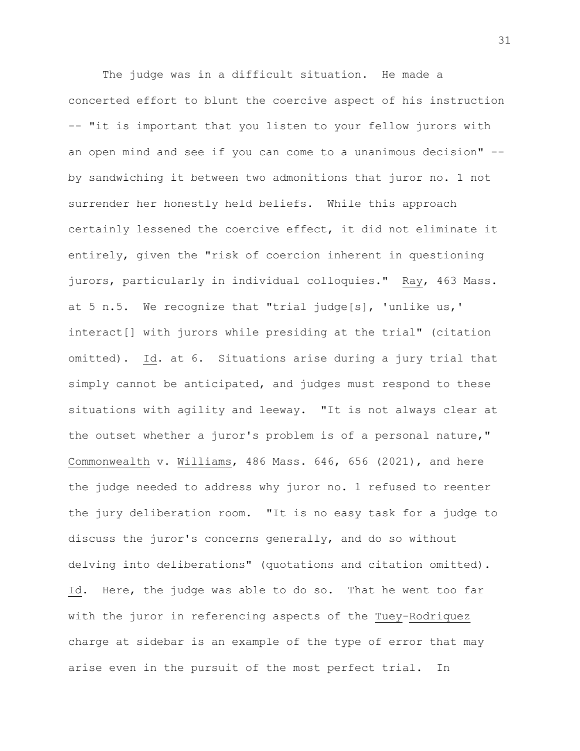The judge was in a difficult situation. He made a concerted effort to blunt the coercive aspect of his instruction -- "it is important that you listen to your fellow jurors with an open mind and see if you can come to a unanimous decision" - by sandwiching it between two admonitions that juror no. 1 not surrender her honestly held beliefs. While this approach certainly lessened the coercive effect, it did not eliminate it entirely, given the "risk of coercion inherent in questioning jurors, particularly in individual colloquies." Ray, 463 Mass. at 5 n.5. We recognize that "trial judge[s], 'unlike us,' interact[] with jurors while presiding at the trial" (citation omitted). Id. at 6. Situations arise during a jury trial that simply cannot be anticipated, and judges must respond to these situations with agility and leeway. "It is not always clear at the outset whether a juror's problem is of a personal nature," Commonwealth v. Williams, 486 Mass. 646, 656 (2021), and here the judge needed to address why juror no. 1 refused to reenter the jury deliberation room. "It is no easy task for a judge to discuss the juror's concerns generally, and do so without delving into deliberations" (quotations and citation omitted). Id. Here, the judge was able to do so. That he went too far with the juror in referencing aspects of the Tuey-Rodriquez charge at sidebar is an example of the type of error that may arise even in the pursuit of the most perfect trial. In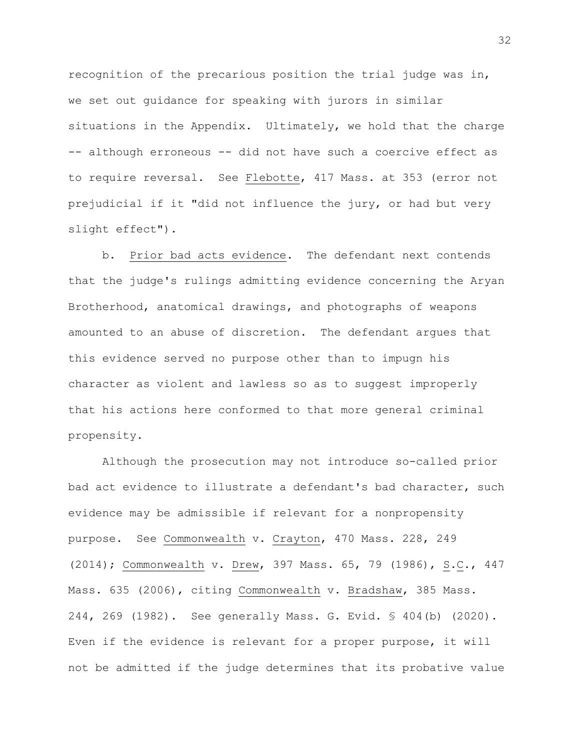recognition of the precarious position the trial judge was in, we set out guidance for speaking with jurors in similar situations in the Appendix. Ultimately, we hold that the charge -- although erroneous -- did not have such a coercive effect as to require reversal. See Flebotte, 417 Mass. at 353 (error not prejudicial if it "did not influence the jury, or had but very slight effect").

b. Prior bad acts evidence. The defendant next contends that the judge's rulings admitting evidence concerning the Aryan Brotherhood, anatomical drawings, and photographs of weapons amounted to an abuse of discretion. The defendant argues that this evidence served no purpose other than to impugn his character as violent and lawless so as to suggest improperly that his actions here conformed to that more general criminal propensity.

Although the prosecution may not introduce so-called prior bad act evidence to illustrate a defendant's bad character, such evidence may be admissible if relevant for a nonpropensity purpose. See Commonwealth v. Crayton, 470 Mass. 228, 249 (2014); Commonwealth v. Drew, 397 Mass. 65, 79 (1986), S.C., 447 Mass. 635 (2006), citing Commonwealth v. Bradshaw, 385 Mass. 244, 269 (1982). See generally Mass. G. Evid. § 404(b) (2020). Even if the evidence is relevant for a proper purpose, it will not be admitted if the judge determines that its probative value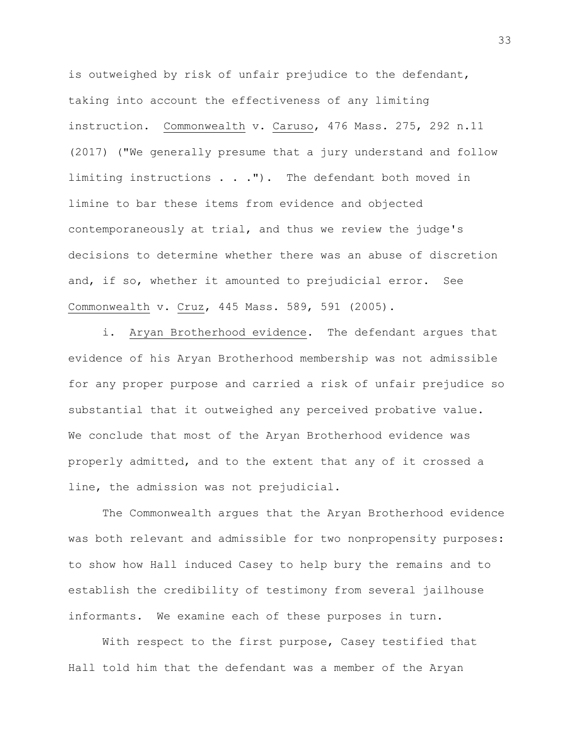is outweighed by risk of unfair prejudice to the defendant, taking into account the effectiveness of any limiting instruction. Commonwealth v. Caruso, 476 Mass. 275, 292 n.11 (2017) ("We generally presume that a jury understand and follow limiting instructions . . ."). The defendant both moved in limine to bar these items from evidence and objected contemporaneously at trial, and thus we review the judge's decisions to determine whether there was an abuse of discretion and, if so, whether it amounted to prejudicial error. See Commonwealth v. Cruz, 445 Mass. 589, 591 (2005).

i. Aryan Brotherhood evidence. The defendant argues that evidence of his Aryan Brotherhood membership was not admissible for any proper purpose and carried a risk of unfair prejudice so substantial that it outweighed any perceived probative value. We conclude that most of the Aryan Brotherhood evidence was properly admitted, and to the extent that any of it crossed a line, the admission was not prejudicial.

The Commonwealth argues that the Aryan Brotherhood evidence was both relevant and admissible for two nonpropensity purposes: to show how Hall induced Casey to help bury the remains and to establish the credibility of testimony from several jailhouse informants. We examine each of these purposes in turn.

With respect to the first purpose, Casey testified that Hall told him that the defendant was a member of the Aryan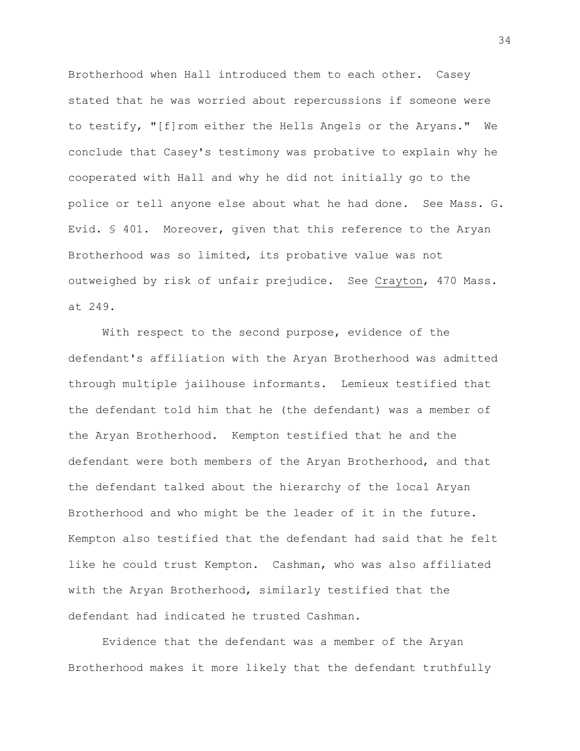Brotherhood when Hall introduced them to each other. Casey stated that he was worried about repercussions if someone were to testify, "[f]rom either the Hells Angels or the Aryans." We conclude that Casey's testimony was probative to explain why he cooperated with Hall and why he did not initially go to the police or tell anyone else about what he had done. See Mass. G. Evid. § 401. Moreover, given that this reference to the Aryan Brotherhood was so limited, its probative value was not outweighed by risk of unfair prejudice. See Crayton, 470 Mass. at 249.

With respect to the second purpose, evidence of the defendant's affiliation with the Aryan Brotherhood was admitted through multiple jailhouse informants. Lemieux testified that the defendant told him that he (the defendant) was a member of the Aryan Brotherhood. Kempton testified that he and the defendant were both members of the Aryan Brotherhood, and that the defendant talked about the hierarchy of the local Aryan Brotherhood and who might be the leader of it in the future. Kempton also testified that the defendant had said that he felt like he could trust Kempton. Cashman, who was also affiliated with the Aryan Brotherhood, similarly testified that the defendant had indicated he trusted Cashman.

Evidence that the defendant was a member of the Aryan Brotherhood makes it more likely that the defendant truthfully

34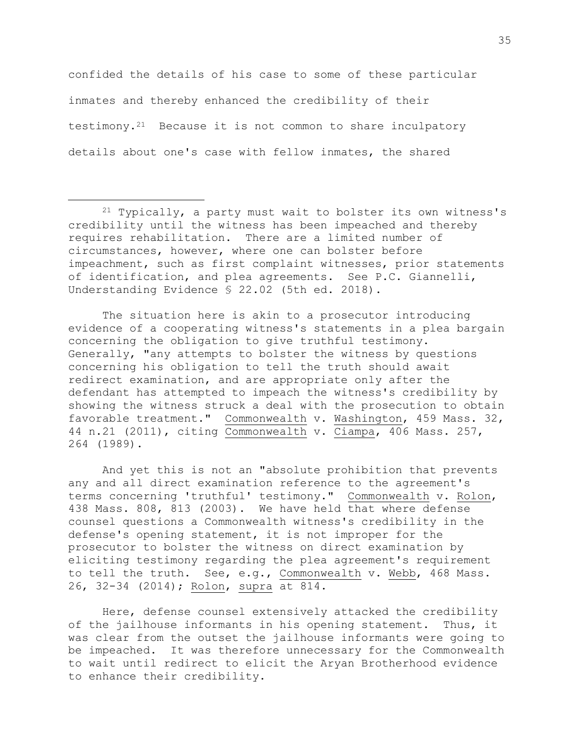confided the details of his case to some of these particular inmates and thereby enhanced the credibility of their testimony. $2^1$  Because it is not common to share inculpatory details about one's case with fellow inmates, the shared

a<br>B

The situation here is akin to a prosecutor introducing evidence of a cooperating witness's statements in a plea bargain concerning the obligation to give truthful testimony. Generally, "any attempts to bolster the witness by questions concerning his obligation to tell the truth should await redirect examination, and are appropriate only after the defendant has attempted to impeach the witness's credibility by showing the witness struck a deal with the prosecution to obtain favorable treatment." Commonwealth v. Washington, 459 Mass. 32, 44 n.21 (2011), citing Commonwealth v. Ciampa, 406 Mass. 257, 264 (1989).

And yet this is not an "absolute prohibition that prevents any and all direct examination reference to the agreement's terms concerning 'truthful' testimony." Commonwealth v. Rolon, 438 Mass. 808, 813 (2003). We have held that where defense counsel questions a Commonwealth witness's credibility in the defense's opening statement, it is not improper for the prosecutor to bolster the witness on direct examination by eliciting testimony regarding the plea agreement's requirement to tell the truth. See, e.g., Commonwealth v. Webb, 468 Mass. 26, 32-34 (2014); Rolon, supra at 814.

Here, defense counsel extensively attacked the credibility of the jailhouse informants in his opening statement. Thus, it was clear from the outset the jailhouse informants were going to be impeached. It was therefore unnecessary for the Commonwealth to wait until redirect to elicit the Aryan Brotherhood evidence to enhance their credibility.

<sup>21</sup> Typically, a party must wait to bolster its own witness's credibility until the witness has been impeached and thereby requires rehabilitation. There are a limited number of circumstances, however, where one can bolster before impeachment, such as first complaint witnesses, prior statements of identification, and plea agreements. See P.C. Giannelli, Understanding Evidence § 22.02 (5th ed. 2018).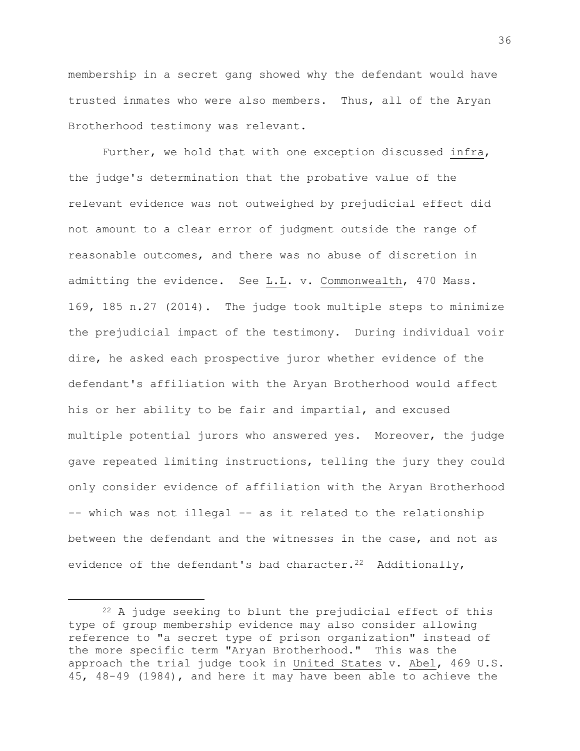membership in a secret gang showed why the defendant would have trusted inmates who were also members. Thus, all of the Aryan Brotherhood testimony was relevant.

Further, we hold that with one exception discussed infra, the judge's determination that the probative value of the relevant evidence was not outweighed by prejudicial effect did not amount to a clear error of judgment outside the range of reasonable outcomes, and there was no abuse of discretion in admitting the evidence. See L.L. v. Commonwealth, 470 Mass. 169, 185 n.27 (2014). The judge took multiple steps to minimize the prejudicial impact of the testimony. During individual voir dire, he asked each prospective juror whether evidence of the defendant's affiliation with the Aryan Brotherhood would affect his or her ability to be fair and impartial, and excused multiple potential jurors who answered yes. Moreover, the judge gave repeated limiting instructions, telling the jury they could only consider evidence of affiliation with the Aryan Brotherhood -- which was not illegal -- as it related to the relationship between the defendant and the witnesses in the case, and not as evidence of the defendant's bad character.<sup>22</sup> Additionally,

<sup>22</sup> A judge seeking to blunt the prejudicial effect of this type of group membership evidence may also consider allowing reference to "a secret type of prison organization" instead of the more specific term "Aryan Brotherhood." This was the approach the trial judge took in United States v. Abel, 469 U.S. 45, 48-49 (1984), and here it may have been able to achieve the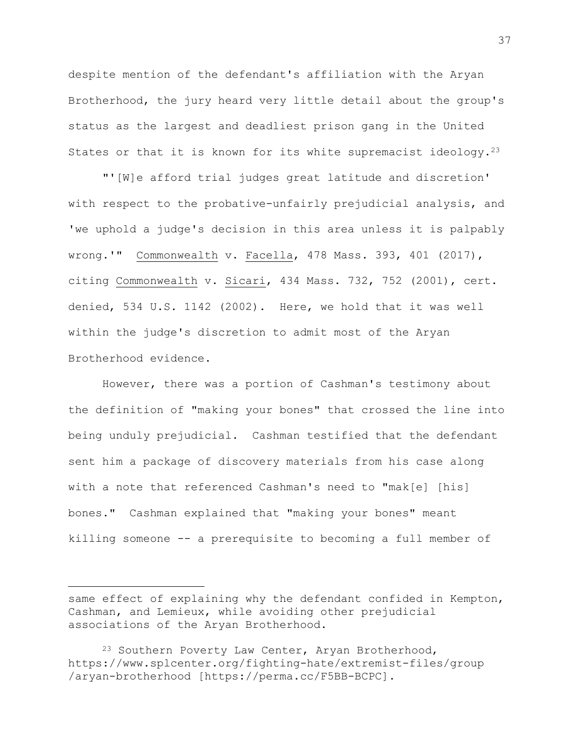despite mention of the defendant's affiliation with the Aryan Brotherhood, the jury heard very little detail about the group's status as the largest and deadliest prison gang in the United States or that it is known for its white supremacist ideology.<sup>23</sup>

"'[W]e afford trial judges great latitude and discretion' with respect to the probative-unfairly prejudicial analysis, and 'we uphold a judge's decision in this area unless it is palpably wrong.'" Commonwealth v. Facella, 478 Mass. 393, 401 (2017), citing Commonwealth v. Sicari, 434 Mass. 732, 752 (2001), cert. denied, 534 U.S. 1142 (2002). Here, we hold that it was well within the judge's discretion to admit most of the Aryan Brotherhood evidence.

However, there was a portion of Cashman's testimony about the definition of "making your bones" that crossed the line into being unduly prejudicial. Cashman testified that the defendant sent him a package of discovery materials from his case along with a note that referenced Cashman's need to "mak[e] [his] bones." Cashman explained that "making your bones" meant killing someone -- a prerequisite to becoming a full member of

i<br>L

same effect of explaining why the defendant confided in Kempton, Cashman, and Lemieux, while avoiding other prejudicial associations of the Aryan Brotherhood.

<sup>&</sup>lt;sup>23</sup> Southern Poverty Law Center, Aryan Brotherhood, https://www.splcenter.org/fighting-hate/extremist-files/group /aryan-brotherhood [https://perma.cc/F5BB-BCPC].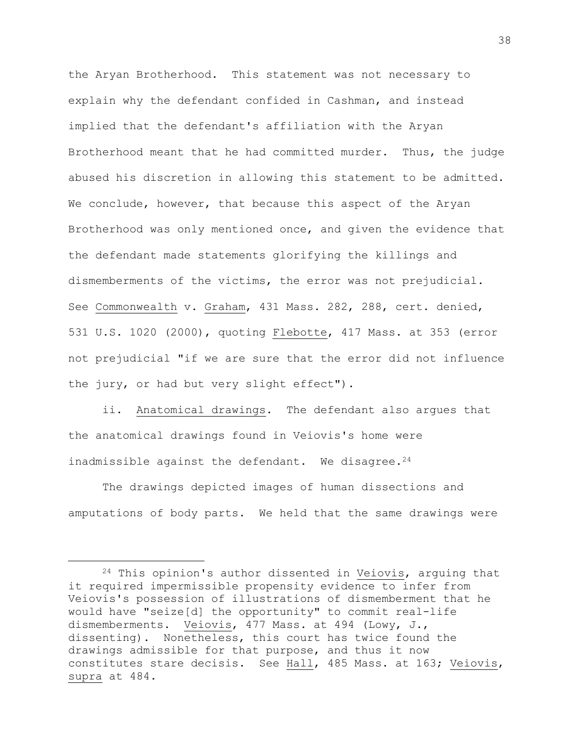the Aryan Brotherhood. This statement was not necessary to explain why the defendant confided in Cashman, and instead implied that the defendant's affiliation with the Aryan Brotherhood meant that he had committed murder. Thus, the judge abused his discretion in allowing this statement to be admitted. We conclude, however, that because this aspect of the Aryan Brotherhood was only mentioned once, and given the evidence that the defendant made statements glorifying the killings and dismemberments of the victims, the error was not prejudicial. See Commonwealth v. Graham, 431 Mass. 282, 288, cert. denied, 531 U.S. 1020 (2000), quoting Flebotte, 417 Mass. at 353 (error not prejudicial "if we are sure that the error did not influence the jury, or had but very slight effect").

ii. Anatomical drawings. The defendant also argues that the anatomical drawings found in Veiovis's home were inadmissible against the defendant. We disagree.<sup>24</sup>

The drawings depicted images of human dissections and amputations of body parts. We held that the same drawings were

i<br>L

<sup>24</sup> This opinion's author dissented in Veiovis, arguing that it required impermissible propensity evidence to infer from Veiovis's possession of illustrations of dismemberment that he would have "seize[d] the opportunity" to commit real-life dismemberments. Veiovis, 477 Mass. at 494 (Lowy, J., dissenting). Nonetheless, this court has twice found the drawings admissible for that purpose, and thus it now constitutes stare decisis. See Hall, 485 Mass. at 163; Veiovis, supra at 484.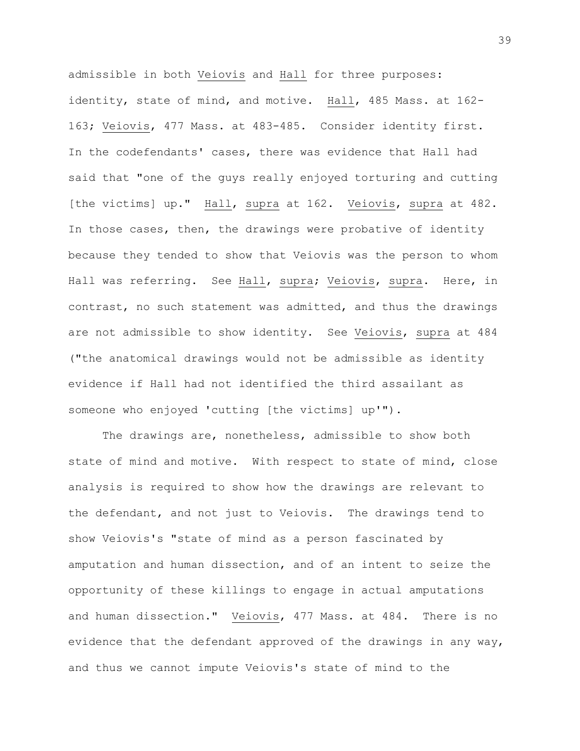admissible in both Veiovis and Hall for three purposes: identity, state of mind, and motive. Hall, 485 Mass. at 162- 163; Veiovis, 477 Mass. at 483-485. Consider identity first. In the codefendants' cases, there was evidence that Hall had said that "one of the guys really enjoyed torturing and cutting [the victims] up." Hall, supra at 162. Veiovis, supra at 482. In those cases, then, the drawings were probative of identity because they tended to show that Veiovis was the person to whom Hall was referring. See Hall, supra; Veiovis, supra. Here, in contrast, no such statement was admitted, and thus the drawings are not admissible to show identity. See Veiovis, supra at 484 ("the anatomical drawings would not be admissible as identity evidence if Hall had not identified the third assailant as someone who enjoyed 'cutting [the victims] up'").

The drawings are, nonetheless, admissible to show both state of mind and motive. With respect to state of mind, close analysis is required to show how the drawings are relevant to the defendant, and not just to Veiovis. The drawings tend to show Veiovis's "state of mind as a person fascinated by amputation and human dissection, and of an intent to seize the opportunity of these killings to engage in actual amputations and human dissection." Veiovis, 477 Mass. at 484. There is no evidence that the defendant approved of the drawings in any way, and thus we cannot impute Veiovis's state of mind to the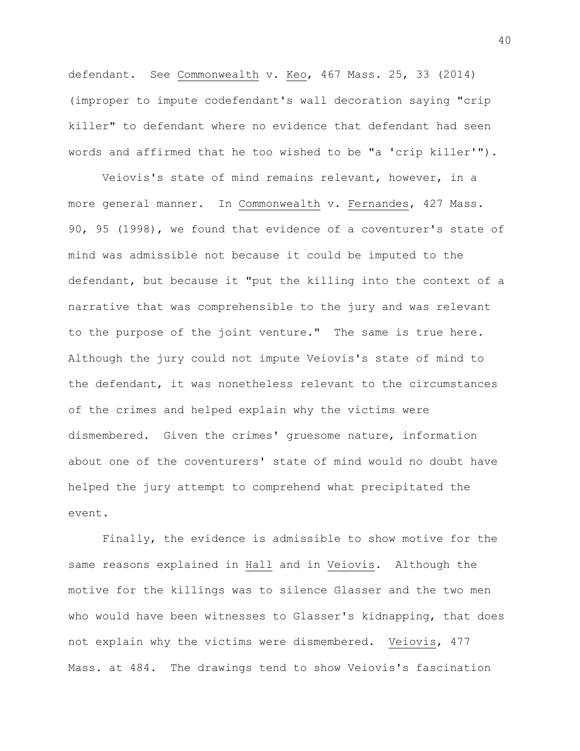defendant. See Commonwealth v. Keo, 467 Mass. 25, 33 (2014) (improper to impute codefendant's wall decoration saying "crip killer" to defendant where no evidence that defendant had seen words and affirmed that he too wished to be "a 'crip killer'").

Veiovis's state of mind remains relevant, however, in a more general manner. In Commonwealth v. Fernandes, 427 Mass. 90, 95 (1998), we found that evidence of a coventurer's state of mind was admissible not because it could be imputed to the defendant, but because it "put the killing into the context of a narrative that was comprehensible to the jury and was relevant to the purpose of the joint venture." The same is true here. Although the jury could not impute Veiovis's state of mind to the defendant, it was nonetheless relevant to the circumstances of the crimes and helped explain why the victims were dismembered. Given the crimes' gruesome nature, information about one of the coventurers' state of mind would no doubt have helped the jury attempt to comprehend what precipitated the event.

Finally, the evidence is admissible to show motive for the same reasons explained in Hall and in Veiovis. Although the motive for the killings was to silence Glasser and the two men who would have been witnesses to Glasser's kidnapping, that does not explain why the victims were dismembered. Veiovis, 477 Mass. at 484. The drawings tend to show Veiovis's fascination

40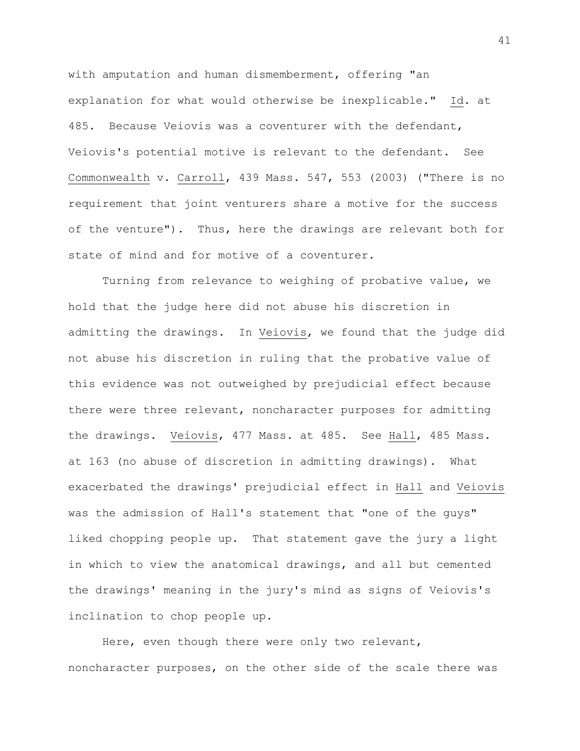with amputation and human dismemberment, offering "an explanation for what would otherwise be inexplicable." Id. at 485. Because Veiovis was a coventurer with the defendant, Veiovis's potential motive is relevant to the defendant. See Commonwealth v. Carroll, 439 Mass. 547, 553 (2003) ("There is no requirement that joint venturers share a motive for the success of the venture"). Thus, here the drawings are relevant both for state of mind and for motive of a coventurer.

Turning from relevance to weighing of probative value, we hold that the judge here did not abuse his discretion in admitting the drawings. In Veiovis, we found that the judge did not abuse his discretion in ruling that the probative value of this evidence was not outweighed by prejudicial effect because there were three relevant, noncharacter purposes for admitting the drawings. Veiovis, 477 Mass. at 485. See Hall, 485 Mass. at 163 (no abuse of discretion in admitting drawings). What exacerbated the drawings' prejudicial effect in Hall and Veiovis was the admission of Hall's statement that "one of the guys" liked chopping people up. That statement gave the jury a light in which to view the anatomical drawings, and all but cemented the drawings' meaning in the jury's mind as signs of Veiovis's inclination to chop people up.

Here, even though there were only two relevant, noncharacter purposes, on the other side of the scale there was

41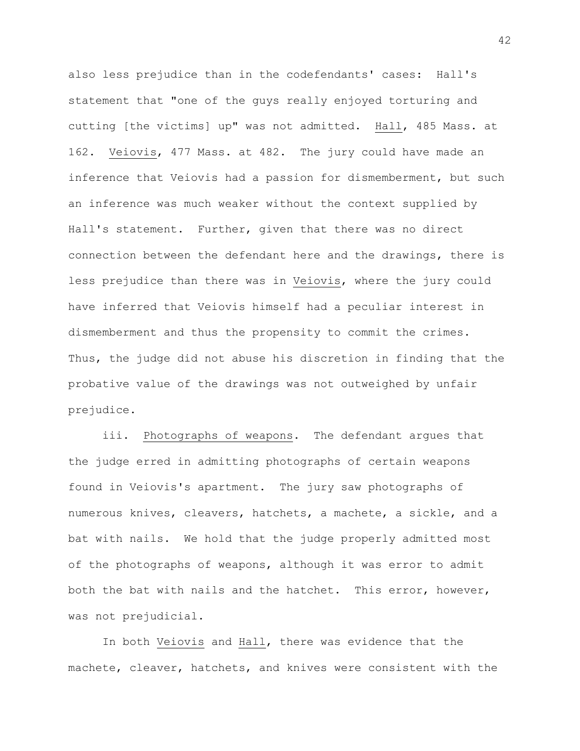also less prejudice than in the codefendants' cases: Hall's statement that "one of the guys really enjoyed torturing and cutting [the victims] up" was not admitted. Hall, 485 Mass. at 162. Veiovis, 477 Mass. at 482. The jury could have made an inference that Veiovis had a passion for dismemberment, but such an inference was much weaker without the context supplied by Hall's statement. Further, given that there was no direct connection between the defendant here and the drawings, there is less prejudice than there was in Veiovis, where the jury could have inferred that Veiovis himself had a peculiar interest in dismemberment and thus the propensity to commit the crimes. Thus, the judge did not abuse his discretion in finding that the probative value of the drawings was not outweighed by unfair prejudice.

iii. Photographs of weapons. The defendant argues that the judge erred in admitting photographs of certain weapons found in Veiovis's apartment. The jury saw photographs of numerous knives, cleavers, hatchets, a machete, a sickle, and a bat with nails. We hold that the judge properly admitted most of the photographs of weapons, although it was error to admit both the bat with nails and the hatchet. This error, however, was not prejudicial.

In both Veiovis and Hall, there was evidence that the machete, cleaver, hatchets, and knives were consistent with the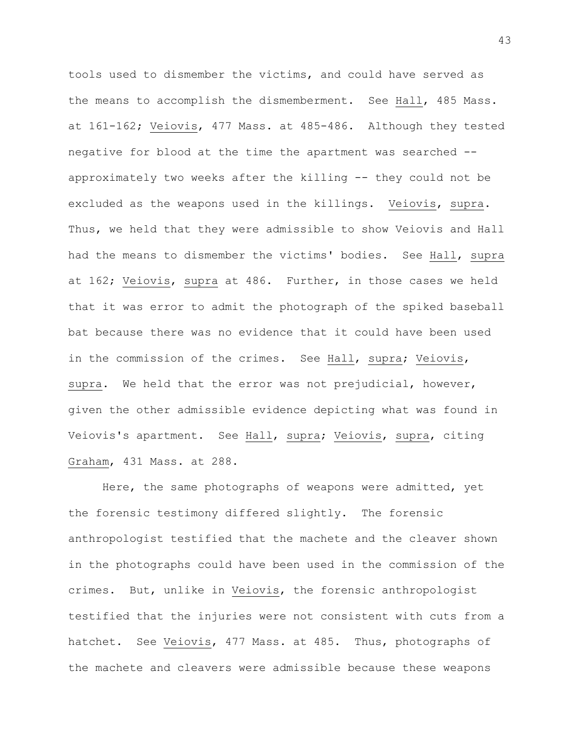tools used to dismember the victims, and could have served as the means to accomplish the dismemberment. See Hall, 485 Mass. at 161-162; Veiovis, 477 Mass. at 485-486. Although they tested negative for blood at the time the apartment was searched - approximately two weeks after the killing -- they could not be excluded as the weapons used in the killings. Veiovis, supra. Thus, we held that they were admissible to show Veiovis and Hall had the means to dismember the victims' bodies. See Hall, supra at 162; Veiovis, supra at 486. Further, in those cases we held that it was error to admit the photograph of the spiked baseball bat because there was no evidence that it could have been used in the commission of the crimes. See Hall, supra; Veiovis, supra. We held that the error was not prejudicial, however, given the other admissible evidence depicting what was found in Veiovis's apartment. See Hall, supra; Veiovis, supra, citing Graham, 431 Mass. at 288.

Here, the same photographs of weapons were admitted, yet the forensic testimony differed slightly. The forensic anthropologist testified that the machete and the cleaver shown in the photographs could have been used in the commission of the crimes. But, unlike in Veiovis, the forensic anthropologist testified that the injuries were not consistent with cuts from a hatchet. See Veiovis, 477 Mass. at 485. Thus, photographs of the machete and cleavers were admissible because these weapons

43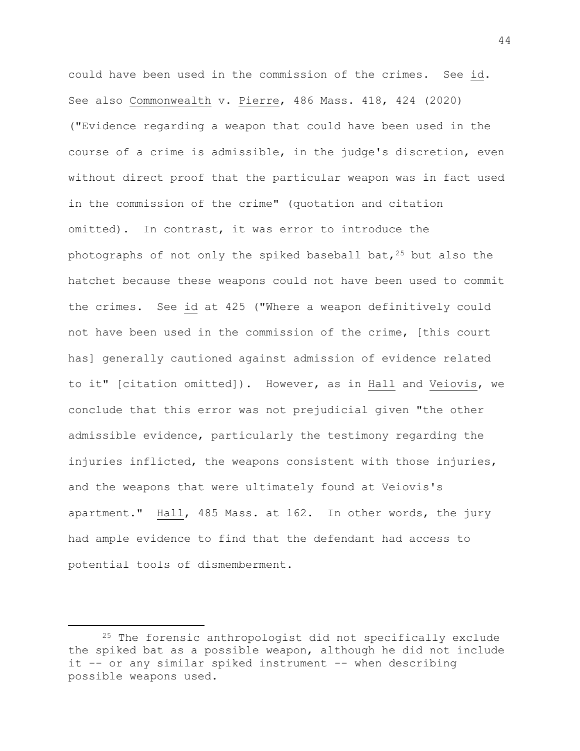could have been used in the commission of the crimes. See id. See also Commonwealth v. Pierre, 486 Mass. 418, 424 (2020) ("Evidence regarding a weapon that could have been used in the course of a crime is admissible, in the judge's discretion, even without direct proof that the particular weapon was in fact used in the commission of the crime" (quotation and citation omitted). In contrast, it was error to introduce the photographs of not only the spiked baseball bat,  $25$  but also the hatchet because these weapons could not have been used to commit the crimes. See id at 425 ("Where a weapon definitively could not have been used in the commission of the crime, [this court has] generally cautioned against admission of evidence related to it" [citation omitted]). However, as in Hall and Veiovis, we conclude that this error was not prejudicial given "the other admissible evidence, particularly the testimony regarding the injuries inflicted, the weapons consistent with those injuries, and the weapons that were ultimately found at Veiovis's apartment." Hall, 485 Mass. at 162. In other words, the jury had ample evidence to find that the defendant had access to potential tools of dismemberment.

i<br>L

<sup>25</sup> The forensic anthropologist did not specifically exclude the spiked bat as a possible weapon, although he did not include it -- or any similar spiked instrument -- when describing possible weapons used.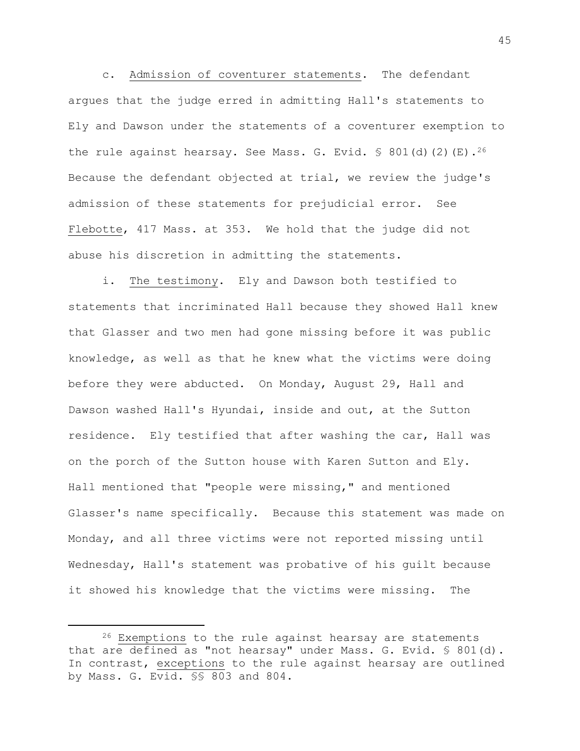c. Admission of coventurer statements. The defendant argues that the judge erred in admitting Hall's statements to Ely and Dawson under the statements of a coventurer exemption to the rule against hearsay. See Mass. G. Evid.  $\frac{1}{5}$  801(d)(2)(E).<sup>26</sup> Because the defendant objected at trial, we review the judge's admission of these statements for prejudicial error. See Flebotte, 417 Mass. at 353. We hold that the judge did not abuse his discretion in admitting the statements.

i. The testimony. Ely and Dawson both testified to statements that incriminated Hall because they showed Hall knew that Glasser and two men had gone missing before it was public knowledge, as well as that he knew what the victims were doing before they were abducted. On Monday, August 29, Hall and Dawson washed Hall's Hyundai, inside and out, at the Sutton residence. Ely testified that after washing the car, Hall was on the porch of the Sutton house with Karen Sutton and Ely. Hall mentioned that "people were missing," and mentioned Glasser's name specifically. Because this statement was made on Monday, and all three victims were not reported missing until Wednesday, Hall's statement was probative of his guilt because it showed his knowledge that the victims were missing. The

i<br>L

<sup>26</sup> Exemptions to the rule against hearsay are statements that are defined as "not hearsay" under Mass. G. Evid. § 801(d). In contrast, exceptions to the rule against hearsay are outlined by Mass. G. Evid. §§ 803 and 804.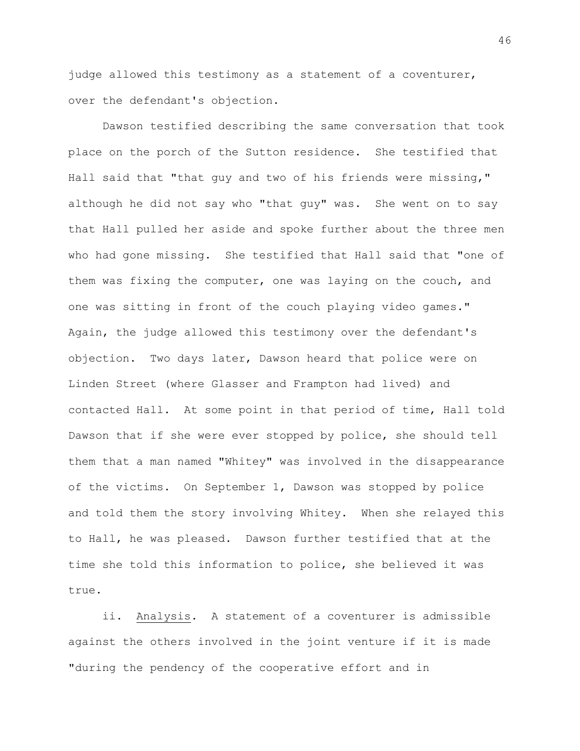judge allowed this testimony as a statement of a coventurer, over the defendant's objection.

Dawson testified describing the same conversation that took place on the porch of the Sutton residence. She testified that Hall said that "that guy and two of his friends were missing," although he did not say who "that guy" was. She went on to say that Hall pulled her aside and spoke further about the three men who had gone missing. She testified that Hall said that "one of them was fixing the computer, one was laying on the couch, and one was sitting in front of the couch playing video games." Again, the judge allowed this testimony over the defendant's objection. Two days later, Dawson heard that police were on Linden Street (where Glasser and Frampton had lived) and contacted Hall. At some point in that period of time, Hall told Dawson that if she were ever stopped by police, she should tell them that a man named "Whitey" was involved in the disappearance of the victims. On September 1, Dawson was stopped by police and told them the story involving Whitey. When she relayed this to Hall, he was pleased. Dawson further testified that at the time she told this information to police, she believed it was true.

ii. Analysis. A statement of a coventurer is admissible against the others involved in the joint venture if it is made "during the pendency of the cooperative effort and in

46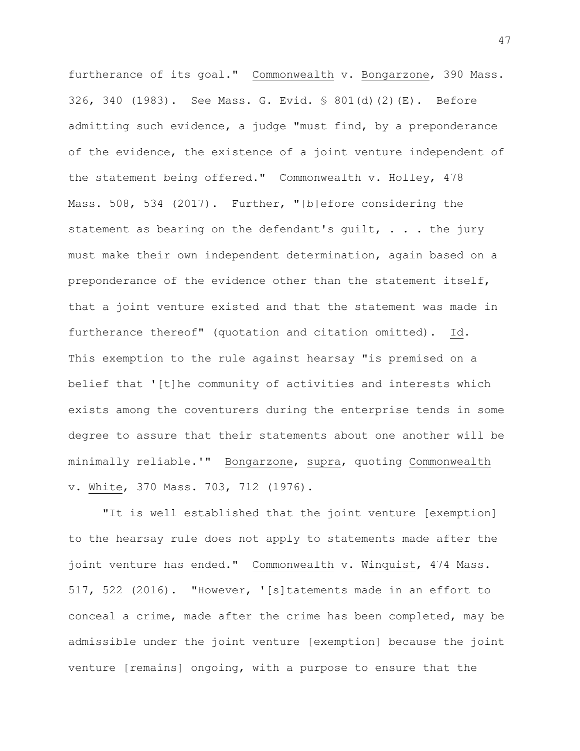furtherance of its goal." Commonwealth v. Bongarzone, 390 Mass. 326, 340 (1983). See Mass. G. Evid. § 801(d)(2)(E). Before admitting such evidence, a judge "must find, by a preponderance of the evidence, the existence of a joint venture independent of the statement being offered." Commonwealth v. Holley, 478 Mass. 508, 534 (2017). Further, "[b]efore considering the statement as bearing on the defendant's quilt,  $\ldots$  the jury must make their own independent determination, again based on a preponderance of the evidence other than the statement itself, that a joint venture existed and that the statement was made in furtherance thereof" (quotation and citation omitted). Id. This exemption to the rule against hearsay "is premised on a belief that '[t]he community of activities and interests which exists among the coventurers during the enterprise tends in some degree to assure that their statements about one another will be minimally reliable.'" Bongarzone, supra, quoting Commonwealth v. White, 370 Mass. 703, 712 (1976).

"It is well established that the joint venture [exemption] to the hearsay rule does not apply to statements made after the joint venture has ended." Commonwealth v. Winquist, 474 Mass. 517, 522 (2016). "However, '[s]tatements made in an effort to conceal a crime, made after the crime has been completed, may be admissible under the joint venture [exemption] because the joint venture [remains] ongoing, with a purpose to ensure that the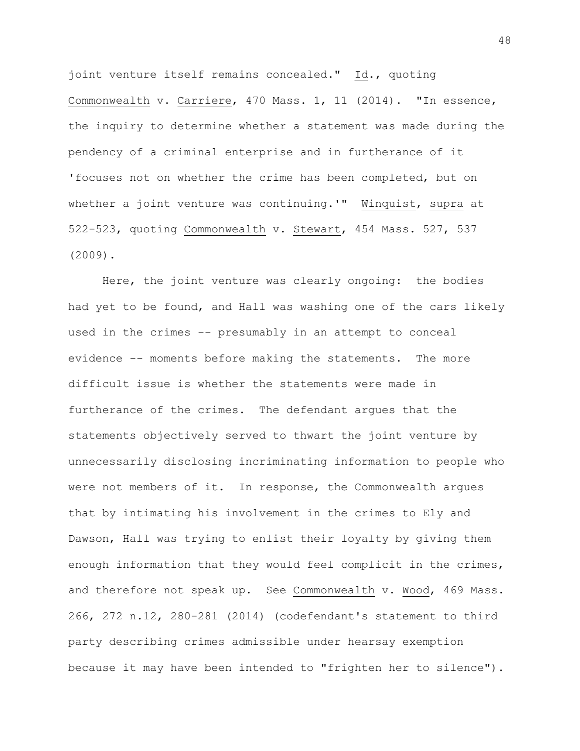joint venture itself remains concealed." Id., quoting Commonwealth v. Carriere, 470 Mass. 1, 11 (2014). "In essence, the inquiry to determine whether a statement was made during the pendency of a criminal enterprise and in furtherance of it 'focuses not on whether the crime has been completed, but on whether a joint venture was continuing.'" Winquist, supra at 522-523, quoting Commonwealth v. Stewart, 454 Mass. 527, 537 (2009).

Here, the joint venture was clearly ongoing: the bodies had yet to be found, and Hall was washing one of the cars likely used in the crimes -- presumably in an attempt to conceal evidence -- moments before making the statements. The more difficult issue is whether the statements were made in furtherance of the crimes. The defendant argues that the statements objectively served to thwart the joint venture by unnecessarily disclosing incriminating information to people who were not members of it. In response, the Commonwealth argues that by intimating his involvement in the crimes to Ely and Dawson, Hall was trying to enlist their loyalty by giving them enough information that they would feel complicit in the crimes, and therefore not speak up. See Commonwealth v. Wood, 469 Mass. 266, 272 n.12, 280-281 (2014) (codefendant's statement to third party describing crimes admissible under hearsay exemption because it may have been intended to "frighten her to silence").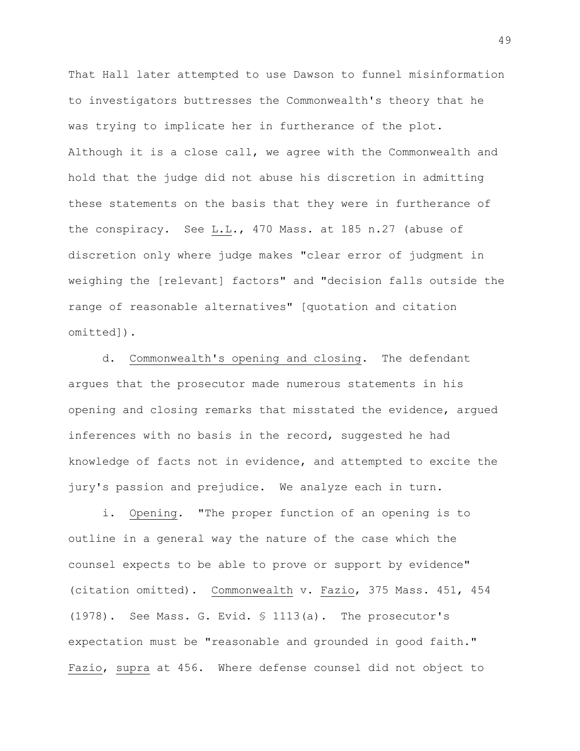That Hall later attempted to use Dawson to funnel misinformation to investigators buttresses the Commonwealth's theory that he was trying to implicate her in furtherance of the plot. Although it is a close call, we agree with the Commonwealth and hold that the judge did not abuse his discretion in admitting these statements on the basis that they were in furtherance of the conspiracy. See L.L., 470 Mass. at 185 n.27 (abuse of discretion only where judge makes "clear error of judgment in weighing the [relevant] factors" and "decision falls outside the range of reasonable alternatives" [quotation and citation omitted]).

d. Commonwealth's opening and closing. The defendant argues that the prosecutor made numerous statements in his opening and closing remarks that misstated the evidence, argued inferences with no basis in the record, suggested he had knowledge of facts not in evidence, and attempted to excite the jury's passion and prejudice. We analyze each in turn.

i. Opening. "The proper function of an opening is to outline in a general way the nature of the case which the counsel expects to be able to prove or support by evidence" (citation omitted). Commonwealth v. Fazio, 375 Mass. 451, 454 (1978). See Mass. G. Evid. § 1113(a). The prosecutor's expectation must be "reasonable and grounded in good faith." Fazio, supra at 456. Where defense counsel did not object to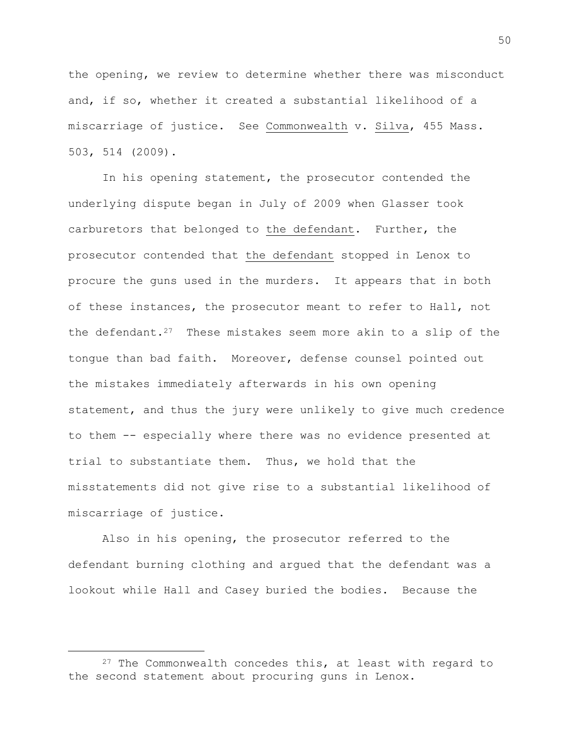the opening, we review to determine whether there was misconduct and, if so, whether it created a substantial likelihood of a miscarriage of justice. See Commonwealth v. Silva, 455 Mass. 503, 514 (2009).

In his opening statement, the prosecutor contended the underlying dispute began in July of 2009 when Glasser took carburetors that belonged to the defendant. Further, the prosecutor contended that the defendant stopped in Lenox to procure the guns used in the murders. It appears that in both of these instances, the prosecutor meant to refer to Hall, not the defendant.<sup>27</sup> These mistakes seem more akin to a slip of the tongue than bad faith. Moreover, defense counsel pointed out the mistakes immediately afterwards in his own opening statement, and thus the jury were unlikely to give much credence to them -- especially where there was no evidence presented at trial to substantiate them. Thus, we hold that the misstatements did not give rise to a substantial likelihood of miscarriage of justice.

Also in his opening, the prosecutor referred to the defendant burning clothing and argued that the defendant was a lookout while Hall and Casey buried the bodies. Because the

i<br>L

 $27$  The Commonwealth concedes this, at least with regard to the second statement about procuring guns in Lenox.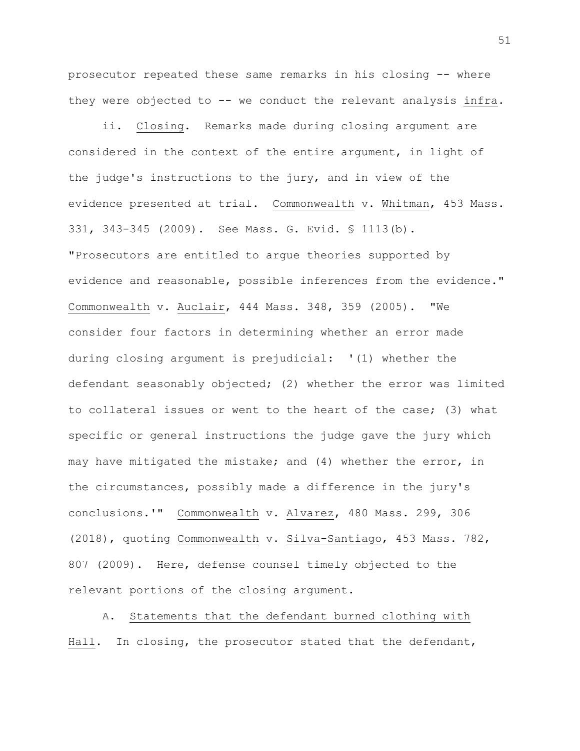prosecutor repeated these same remarks in his closing -- where they were objected to -- we conduct the relevant analysis infra.

ii. Closing. Remarks made during closing argument are considered in the context of the entire argument, in light of the judge's instructions to the jury, and in view of the evidence presented at trial. Commonwealth v. Whitman, 453 Mass. 331, 343-345 (2009). See Mass. G. Evid. § 1113(b). "Prosecutors are entitled to argue theories supported by evidence and reasonable, possible inferences from the evidence." Commonwealth v. Auclair, 444 Mass. 348, 359 (2005). "We consider four factors in determining whether an error made during closing argument is prejudicial: '(1) whether the defendant seasonably objected; (2) whether the error was limited to collateral issues or went to the heart of the case; (3) what specific or general instructions the judge gave the jury which may have mitigated the mistake; and (4) whether the error, in the circumstances, possibly made a difference in the jury's conclusions.'" Commonwealth v. Alvarez, 480 Mass. 299, 306 (2018), quoting Commonwealth v. Silva-Santiago, 453 Mass. 782, 807 (2009). Here, defense counsel timely objected to the relevant portions of the closing argument.

A. Statements that the defendant burned clothing with Hall. In closing, the prosecutor stated that the defendant,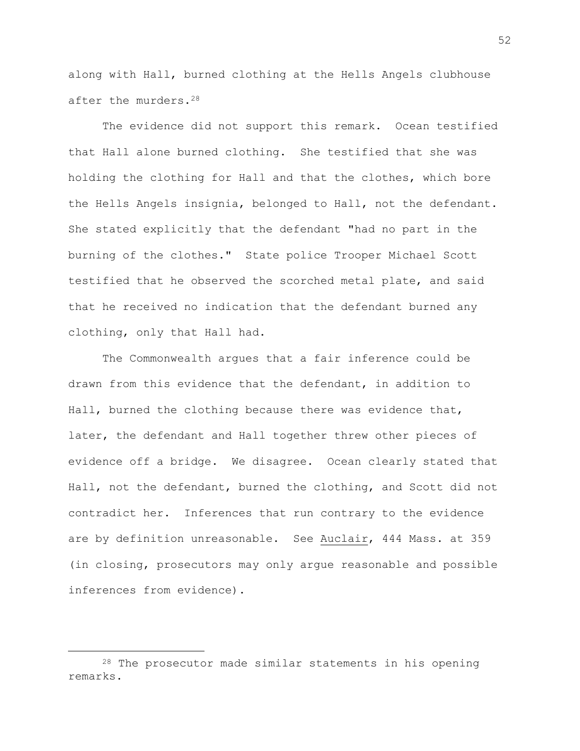along with Hall, burned clothing at the Hells Angels clubhouse after the murders.<sup>28</sup>

The evidence did not support this remark. Ocean testified that Hall alone burned clothing. She testified that she was holding the clothing for Hall and that the clothes, which bore the Hells Angels insignia, belonged to Hall, not the defendant. She stated explicitly that the defendant "had no part in the burning of the clothes." State police Trooper Michael Scott testified that he observed the scorched metal plate, and said that he received no indication that the defendant burned any clothing, only that Hall had.

The Commonwealth argues that a fair inference could be drawn from this evidence that the defendant, in addition to Hall, burned the clothing because there was evidence that, later, the defendant and Hall together threw other pieces of evidence off a bridge. We disagree. Ocean clearly stated that Hall, not the defendant, burned the clothing, and Scott did not contradict her. Inferences that run contrary to the evidence are by definition unreasonable. See Auclair, 444 Mass. at 359 (in closing, prosecutors may only argue reasonable and possible inferences from evidence).

i<br>L

<sup>28</sup> The prosecutor made similar statements in his opening remarks.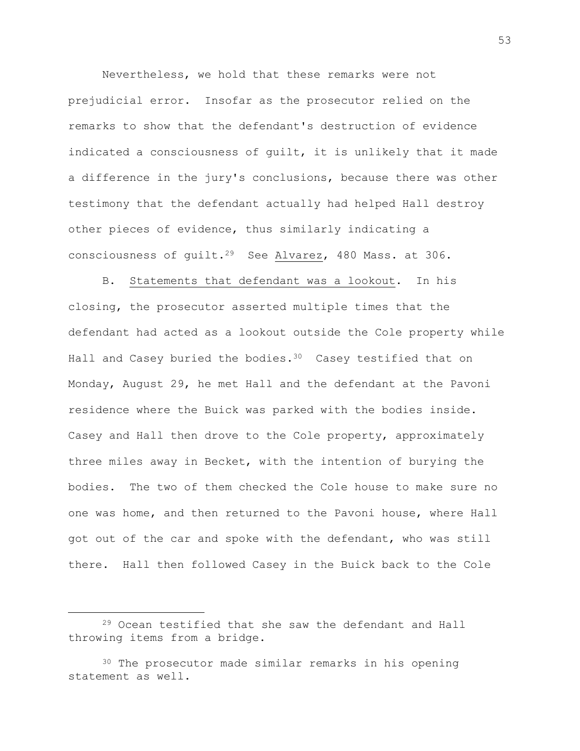Nevertheless, we hold that these remarks were not prejudicial error. Insofar as the prosecutor relied on the remarks to show that the defendant's destruction of evidence indicated a consciousness of guilt, it is unlikely that it made a difference in the jury's conclusions, because there was other testimony that the defendant actually had helped Hall destroy other pieces of evidence, thus similarly indicating a consciousness of guilt.29 See Alvarez, 480 Mass. at 306.

B. Statements that defendant was a lookout. In his closing, the prosecutor asserted multiple times that the defendant had acted as a lookout outside the Cole property while Hall and Casey buried the bodies.<sup>30</sup> Casey testified that on Monday, August 29, he met Hall and the defendant at the Pavoni residence where the Buick was parked with the bodies inside. Casey and Hall then drove to the Cole property, approximately three miles away in Becket, with the intention of burying the bodies. The two of them checked the Cole house to make sure no one was home, and then returned to the Pavoni house, where Hall got out of the car and spoke with the defendant, who was still there. Hall then followed Casey in the Buick back to the Cole

L,

<sup>29</sup> Ocean testified that she saw the defendant and Hall throwing items from a bridge.

<sup>30</sup> The prosecutor made similar remarks in his opening statement as well.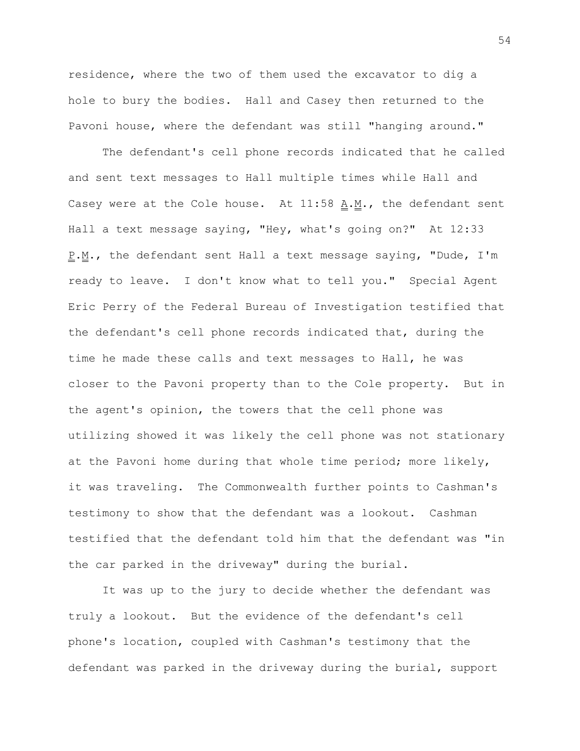residence, where the two of them used the excavator to dig a hole to bury the bodies. Hall and Casey then returned to the Pavoni house, where the defendant was still "hanging around."

The defendant's cell phone records indicated that he called and sent text messages to Hall multiple times while Hall and Casey were at the Cole house. At 11:58 A.M., the defendant sent Hall a text message saying, "Hey, what's going on?" At 12:33 P.M., the defendant sent Hall a text message saying, "Dude, I'm ready to leave. I don't know what to tell you." Special Agent Eric Perry of the Federal Bureau of Investigation testified that the defendant's cell phone records indicated that, during the time he made these calls and text messages to Hall, he was closer to the Pavoni property than to the Cole property. But in the agent's opinion, the towers that the cell phone was utilizing showed it was likely the cell phone was not stationary at the Pavoni home during that whole time period; more likely, it was traveling. The Commonwealth further points to Cashman's testimony to show that the defendant was a lookout. Cashman testified that the defendant told him that the defendant was "in the car parked in the driveway" during the burial.

It was up to the jury to decide whether the defendant was truly a lookout. But the evidence of the defendant's cell phone's location, coupled with Cashman's testimony that the defendant was parked in the driveway during the burial, support

54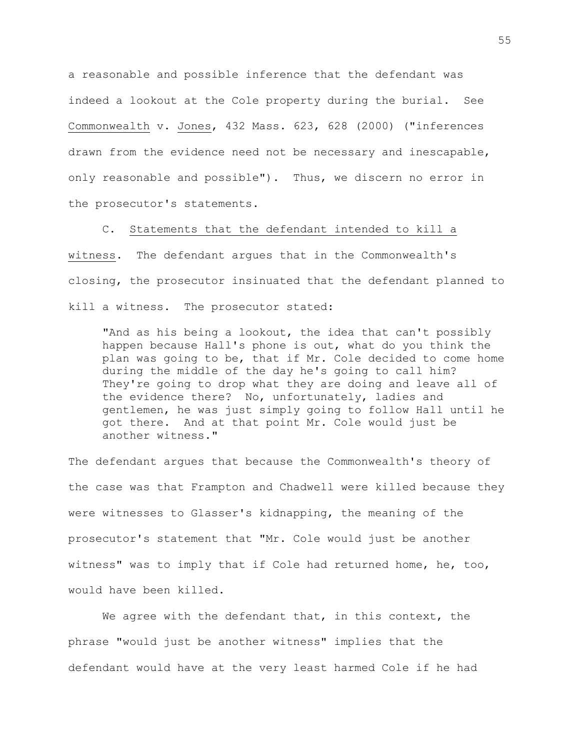a reasonable and possible inference that the defendant was indeed a lookout at the Cole property during the burial. See Commonwealth v. Jones, 432 Mass. 623, 628 (2000) ("inferences drawn from the evidence need not be necessary and inescapable, only reasonable and possible"). Thus, we discern no error in the prosecutor's statements.

C. Statements that the defendant intended to kill a witness. The defendant argues that in the Commonwealth's closing, the prosecutor insinuated that the defendant planned to kill a witness. The prosecutor stated:

"And as his being a lookout, the idea that can't possibly happen because Hall's phone is out, what do you think the plan was going to be, that if Mr. Cole decided to come home during the middle of the day he's going to call him? They're going to drop what they are doing and leave all of the evidence there? No, unfortunately, ladies and gentlemen, he was just simply going to follow Hall until he got there. And at that point Mr. Cole would just be another witness."

The defendant argues that because the Commonwealth's theory of the case was that Frampton and Chadwell were killed because they were witnesses to Glasser's kidnapping, the meaning of the prosecutor's statement that "Mr. Cole would just be another witness" was to imply that if Cole had returned home, he, too, would have been killed.

We agree with the defendant that, in this context, the phrase "would just be another witness" implies that the defendant would have at the very least harmed Cole if he had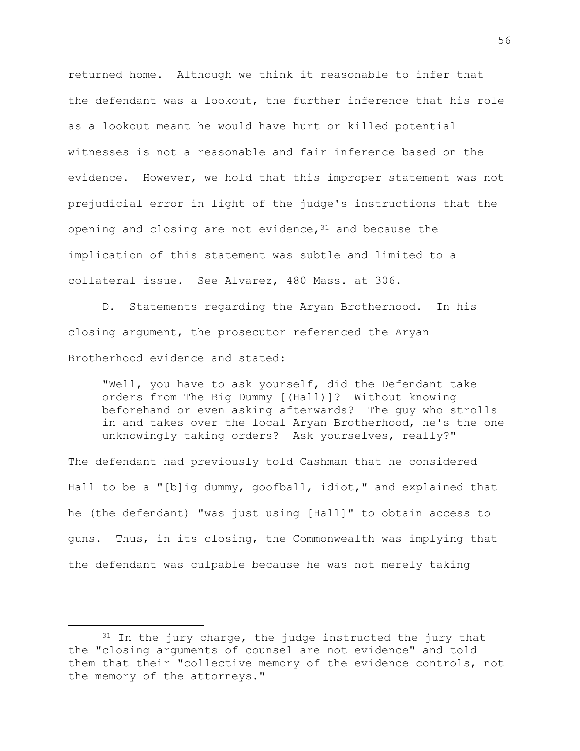returned home. Although we think it reasonable to infer that the defendant was a lookout, the further inference that his role as a lookout meant he would have hurt or killed potential witnesses is not a reasonable and fair inference based on the evidence. However, we hold that this improper statement was not prejudicial error in light of the judge's instructions that the opening and closing are not evidence,  $31$  and because the implication of this statement was subtle and limited to a collateral issue. See Alvarez, 480 Mass. at 306.

D. Statements regarding the Aryan Brotherhood. In his closing argument, the prosecutor referenced the Aryan Brotherhood evidence and stated:

"Well, you have to ask yourself, did the Defendant take orders from The Big Dummy [(Hall)]? Without knowing beforehand or even asking afterwards? The guy who strolls in and takes over the local Aryan Brotherhood, he's the one unknowingly taking orders? Ask yourselves, really?"

The defendant had previously told Cashman that he considered Hall to be a "[b]ig dummy, goofball, idiot," and explained that he (the defendant) "was just using [Hall]" to obtain access to guns. Thus, in its closing, the Commonwealth was implying that the defendant was culpable because he was not merely taking

i<br>L

 $31$  In the jury charge, the judge instructed the jury that the "closing arguments of counsel are not evidence" and told them that their "collective memory of the evidence controls, not the memory of the attorneys."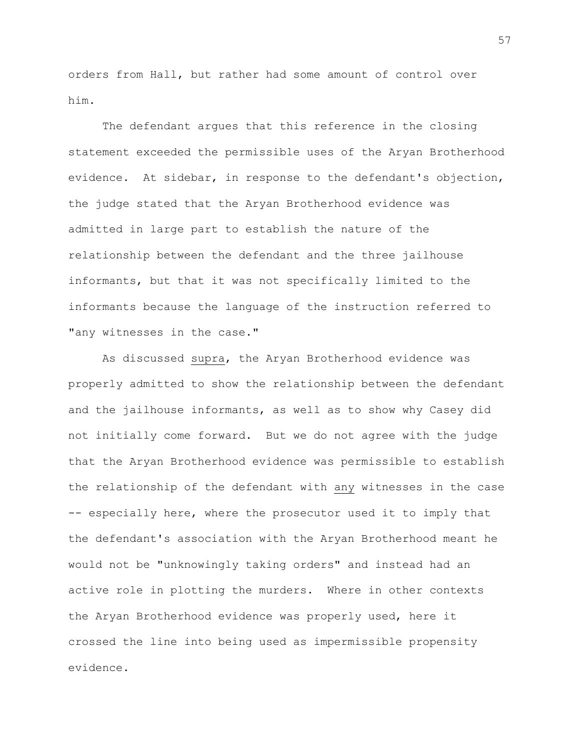orders from Hall, but rather had some amount of control over him.

The defendant argues that this reference in the closing statement exceeded the permissible uses of the Aryan Brotherhood evidence. At sidebar, in response to the defendant's objection, the judge stated that the Aryan Brotherhood evidence was admitted in large part to establish the nature of the relationship between the defendant and the three jailhouse informants, but that it was not specifically limited to the informants because the language of the instruction referred to "any witnesses in the case."

As discussed supra, the Aryan Brotherhood evidence was properly admitted to show the relationship between the defendant and the jailhouse informants, as well as to show why Casey did not initially come forward. But we do not agree with the judge that the Aryan Brotherhood evidence was permissible to establish the relationship of the defendant with any witnesses in the case -- especially here, where the prosecutor used it to imply that the defendant's association with the Aryan Brotherhood meant he would not be "unknowingly taking orders" and instead had an active role in plotting the murders. Where in other contexts the Aryan Brotherhood evidence was properly used, here it crossed the line into being used as impermissible propensity evidence.

57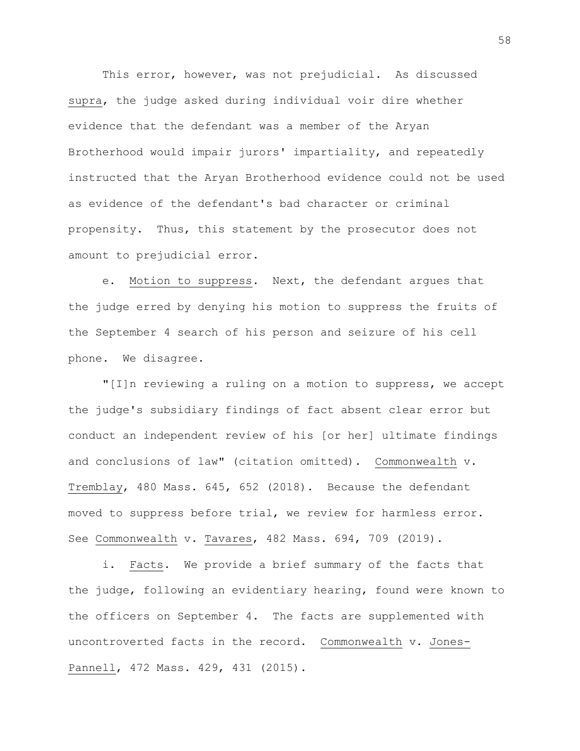This error, however, was not prejudicial. As discussed supra, the judge asked during individual voir dire whether evidence that the defendant was a member of the Aryan Brotherhood would impair jurors' impartiality, and repeatedly instructed that the Aryan Brotherhood evidence could not be used as evidence of the defendant's bad character or criminal propensity. Thus, this statement by the prosecutor does not amount to prejudicial error.

e. Motion to suppress. Next, the defendant argues that the judge erred by denying his motion to suppress the fruits of the September 4 search of his person and seizure of his cell phone. We disagree.

"[I]n reviewing a ruling on a motion to suppress, we accept the judge's subsidiary findings of fact absent clear error but conduct an independent review of his [or her] ultimate findings and conclusions of law" (citation omitted). Commonwealth v. Tremblay, 480 Mass. 645, 652 (2018). Because the defendant moved to suppress before trial, we review for harmless error. See Commonwealth v. Tavares, 482 Mass. 694, 709 (2019).

i. Facts. We provide a brief summary of the facts that the judge, following an evidentiary hearing, found were known to the officers on September 4. The facts are supplemented with uncontroverted facts in the record. Commonwealth v. Jones-Pannell, 472 Mass. 429, 431 (2015).

58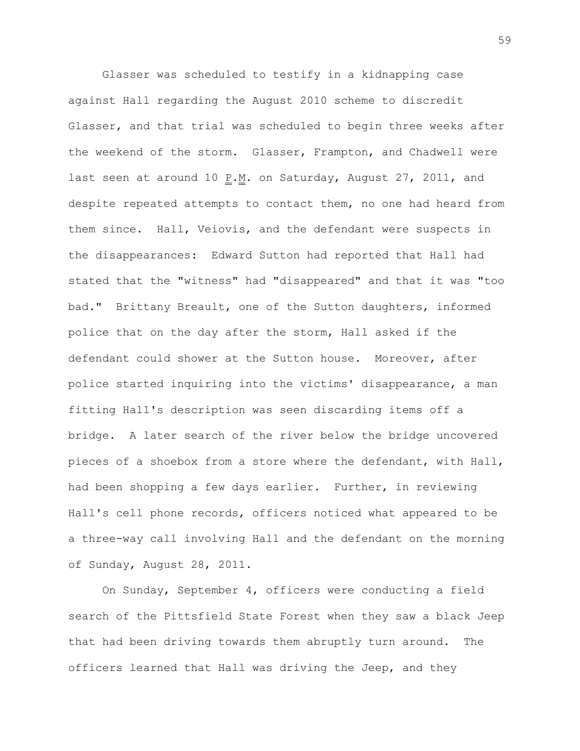Glasser was scheduled to testify in a kidnapping case against Hall regarding the August 2010 scheme to discredit Glasser, and that trial was scheduled to begin three weeks after the weekend of the storm. Glasser, Frampton, and Chadwell were last seen at around 10  $\underline{P.M.}$  on Saturday, August 27, 2011, and despite repeated attempts to contact them, no one had heard from them since. Hall, Veiovis, and the defendant were suspects in the disappearances: Edward Sutton had reported that Hall had stated that the "witness" had "disappeared" and that it was "too bad." Brittany Breault, one of the Sutton daughters, informed police that on the day after the storm, Hall asked if the defendant could shower at the Sutton house. Moreover, after police started inquiring into the victims' disappearance, a man fitting Hall's description was seen discarding items off a bridge. A later search of the river below the bridge uncovered pieces of a shoebox from a store where the defendant, with Hall, had been shopping a few days earlier. Further, in reviewing Hall's cell phone records, officers noticed what appeared to be a three-way call involving Hall and the defendant on the morning of Sunday, August 28, 2011.

On Sunday, September 4, officers were conducting a field search of the Pittsfield State Forest when they saw a black Jeep that had been driving towards them abruptly turn around. The officers learned that Hall was driving the Jeep, and they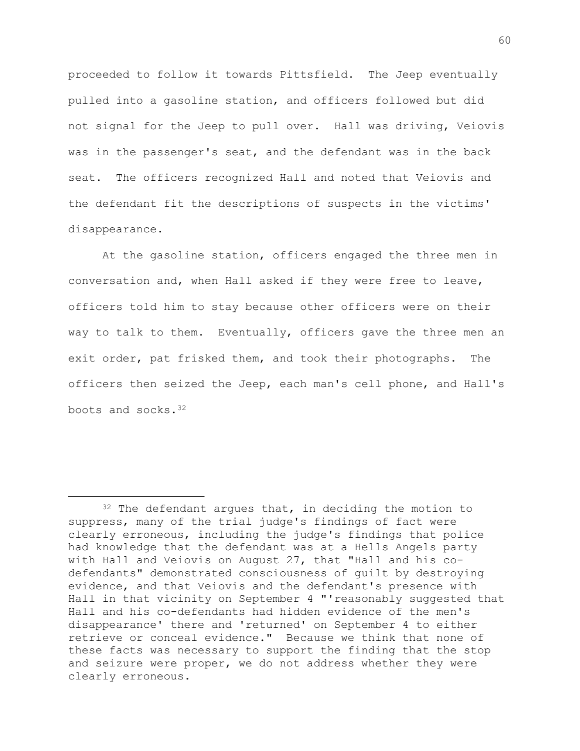proceeded to follow it towards Pittsfield. The Jeep eventually pulled into a gasoline station, and officers followed but did not signal for the Jeep to pull over. Hall was driving, Veiovis was in the passenger's seat, and the defendant was in the back seat. The officers recognized Hall and noted that Veiovis and the defendant fit the descriptions of suspects in the victims' disappearance.

At the gasoline station, officers engaged the three men in conversation and, when Hall asked if they were free to leave, officers told him to stay because other officers were on their way to talk to them. Eventually, officers gave the three men an exit order, pat frisked them, and took their photographs. The officers then seized the Jeep, each man's cell phone, and Hall's boots and socks.<sup>32</sup>

i<br>L

<sup>&</sup>lt;sup>32</sup> The defendant argues that, in deciding the motion to suppress, many of the trial judge's findings of fact were clearly erroneous, including the judge's findings that police had knowledge that the defendant was at a Hells Angels party with Hall and Veiovis on August 27, that "Hall and his codefendants" demonstrated consciousness of guilt by destroying evidence, and that Veiovis and the defendant's presence with Hall in that vicinity on September 4 "'reasonably suggested that Hall and his co-defendants had hidden evidence of the men's disappearance' there and 'returned' on September 4 to either retrieve or conceal evidence." Because we think that none of these facts was necessary to support the finding that the stop and seizure were proper, we do not address whether they were clearly erroneous.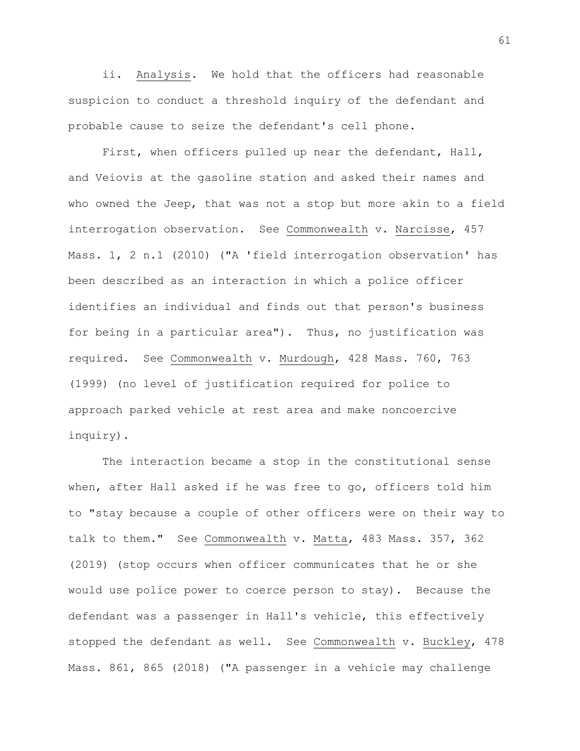ii. Analysis. We hold that the officers had reasonable suspicion to conduct a threshold inquiry of the defendant and probable cause to seize the defendant's cell phone.

First, when officers pulled up near the defendant, Hall, and Veiovis at the gasoline station and asked their names and who owned the Jeep, that was not a stop but more akin to a field interrogation observation. See Commonwealth v. Narcisse, 457 Mass. 1, 2 n.1 (2010) ("A 'field interrogation observation' has been described as an interaction in which a police officer identifies an individual and finds out that person's business for being in a particular area"). Thus, no justification was required. See Commonwealth v. Murdough, 428 Mass. 760, 763 (1999) (no level of justification required for police to approach parked vehicle at rest area and make noncoercive inquiry).

The interaction became a stop in the constitutional sense when, after Hall asked if he was free to go, officers told him to "stay because a couple of other officers were on their way to talk to them." See Commonwealth v. Matta, 483 Mass. 357, 362 (2019) (stop occurs when officer communicates that he or she would use police power to coerce person to stay). Because the defendant was a passenger in Hall's vehicle, this effectively stopped the defendant as well. See Commonwealth v. Buckley, 478 Mass. 861, 865 (2018) ("A passenger in a vehicle may challenge

61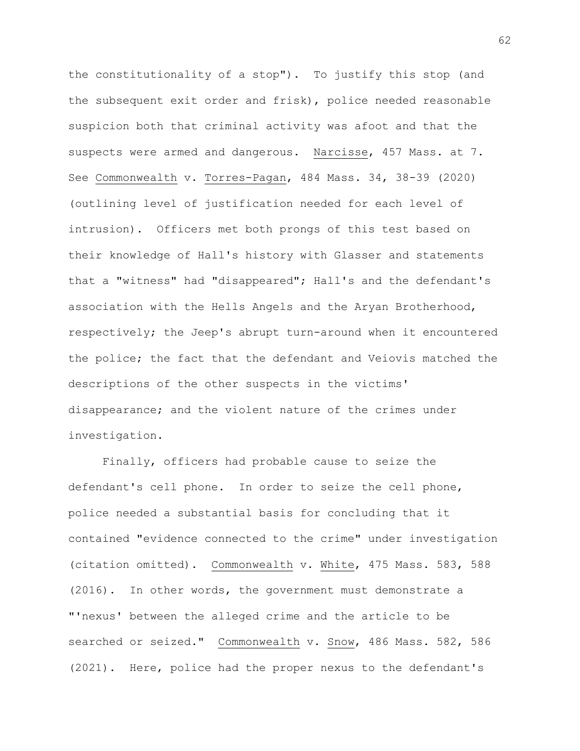the constitutionality of a stop"). To justify this stop (and the subsequent exit order and frisk), police needed reasonable suspicion both that criminal activity was afoot and that the suspects were armed and dangerous. Narcisse, 457 Mass. at 7. See Commonwealth v. Torres-Pagan, 484 Mass. 34, 38-39 (2020) (outlining level of justification needed for each level of intrusion). Officers met both prongs of this test based on their knowledge of Hall's history with Glasser and statements that a "witness" had "disappeared"; Hall's and the defendant's association with the Hells Angels and the Aryan Brotherhood, respectively; the Jeep's abrupt turn-around when it encountered the police; the fact that the defendant and Veiovis matched the descriptions of the other suspects in the victims' disappearance; and the violent nature of the crimes under investigation.

Finally, officers had probable cause to seize the defendant's cell phone. In order to seize the cell phone, police needed a substantial basis for concluding that it contained "evidence connected to the crime" under investigation (citation omitted). Commonwealth v. White, 475 Mass. 583, 588 (2016). In other words, the government must demonstrate a "'nexus' between the alleged crime and the article to be searched or seized." Commonwealth v. Snow, 486 Mass. 582, 586 (2021). Here, police had the proper nexus to the defendant's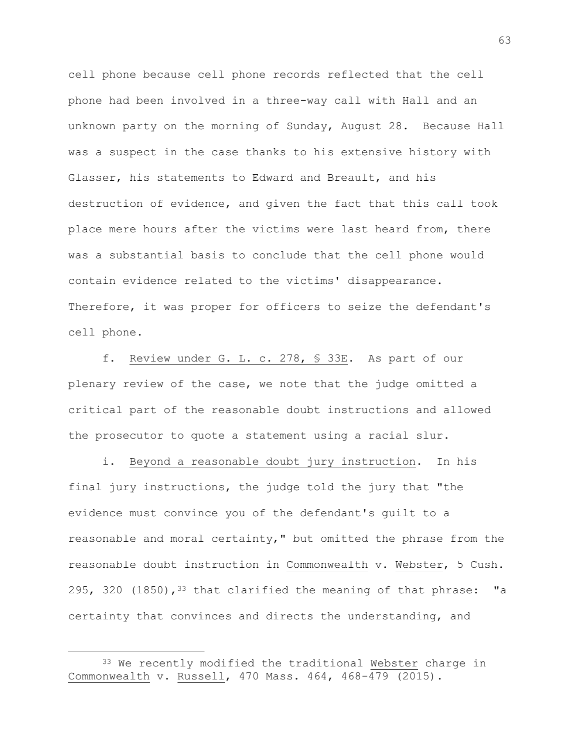cell phone because cell phone records reflected that the cell phone had been involved in a three-way call with Hall and an unknown party on the morning of Sunday, August 28. Because Hall was a suspect in the case thanks to his extensive history with Glasser, his statements to Edward and Breault, and his destruction of evidence, and given the fact that this call took place mere hours after the victims were last heard from, there was a substantial basis to conclude that the cell phone would contain evidence related to the victims' disappearance. Therefore, it was proper for officers to seize the defendant's cell phone.

f. Review under G. L. c. 278, § 33E. As part of our plenary review of the case, we note that the judge omitted a critical part of the reasonable doubt instructions and allowed the prosecutor to quote a statement using a racial slur.

i. Beyond a reasonable doubt jury instruction. In his final jury instructions, the judge told the jury that "the evidence must convince you of the defendant's guilt to a reasonable and moral certainty," but omitted the phrase from the reasonable doubt instruction in Commonwealth v. Webster, 5 Cush. 295, 320  $(1850)$ , <sup>33</sup> that clarified the meaning of that phrase: "a certainty that convinces and directs the understanding, and

i<br>L

<sup>33</sup> We recently modified the traditional Webster charge in Commonwealth v. Russell, 470 Mass. 464, 468-479 (2015).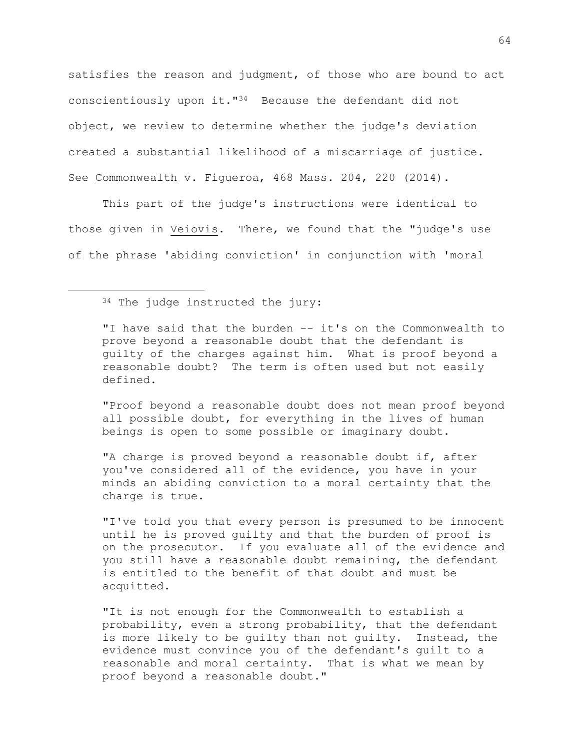satisfies the reason and judgment, of those who are bound to act conscientiously upon it."<sup>34</sup> Because the defendant did not object, we review to determine whether the judge's deviation created a substantial likelihood of a miscarriage of justice. See Commonwealth v. Figueroa, 468 Mass. 204, 220 (2014).

This part of the judge's instructions were identical to those given in Veiovis. There, we found that the "judge's use of the phrase 'abiding conviction' in conjunction with 'moral

<sup>34</sup> The judge instructed the jury:

i<br>L

"I have said that the burden -- it's on the Commonwealth to prove beyond a reasonable doubt that the defendant is guilty of the charges against him. What is proof beyond a reasonable doubt? The term is often used but not easily defined.

"Proof beyond a reasonable doubt does not mean proof beyond all possible doubt, for everything in the lives of human beings is open to some possible or imaginary doubt.

"A charge is proved beyond a reasonable doubt if, after you've considered all of the evidence, you have in your minds an abiding conviction to a moral certainty that the charge is true.

"I've told you that every person is presumed to be innocent until he is proved guilty and that the burden of proof is on the prosecutor. If you evaluate all of the evidence and you still have a reasonable doubt remaining, the defendant is entitled to the benefit of that doubt and must be acquitted.

"It is not enough for the Commonwealth to establish a probability, even a strong probability, that the defendant is more likely to be guilty than not guilty. Instead, the evidence must convince you of the defendant's guilt to a reasonable and moral certainty. That is what we mean by proof beyond a reasonable doubt."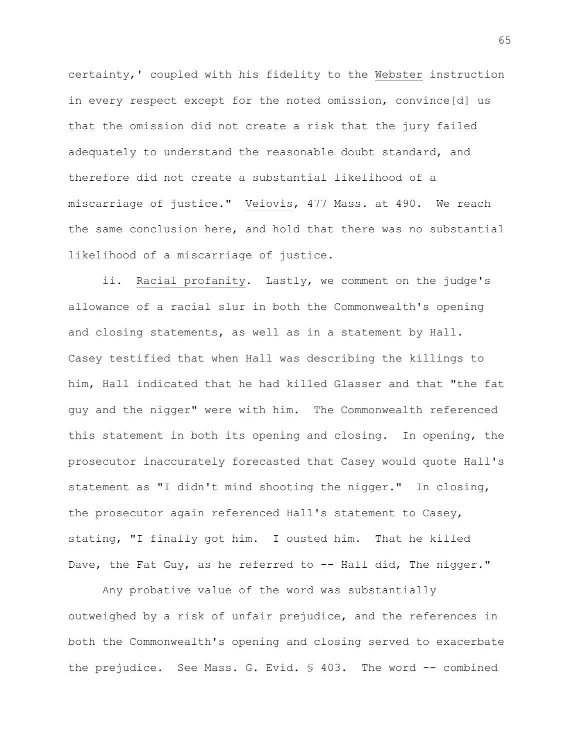certainty,' coupled with his fidelity to the Webster instruction in every respect except for the noted omission, convince[d] us that the omission did not create a risk that the jury failed adequately to understand the reasonable doubt standard, and therefore did not create a substantial likelihood of a miscarriage of justice." Veiovis, 477 Mass. at 490. We reach the same conclusion here, and hold that there was no substantial likelihood of a miscarriage of justice.

ii. Racial profanity. Lastly, we comment on the judge's allowance of a racial slur in both the Commonwealth's opening and closing statements, as well as in a statement by Hall. Casey testified that when Hall was describing the killings to him, Hall indicated that he had killed Glasser and that "the fat guy and the nigger" were with him. The Commonwealth referenced this statement in both its opening and closing. In opening, the prosecutor inaccurately forecasted that Casey would quote Hall's statement as "I didn't mind shooting the nigger." In closing, the prosecutor again referenced Hall's statement to Casey, stating, "I finally got him. I ousted him. That he killed Dave, the Fat Guy, as he referred to -- Hall did, The nigger."

Any probative value of the word was substantially outweighed by a risk of unfair prejudice, and the references in both the Commonwealth's opening and closing served to exacerbate the prejudice. See Mass. G. Evid. § 403. The word -- combined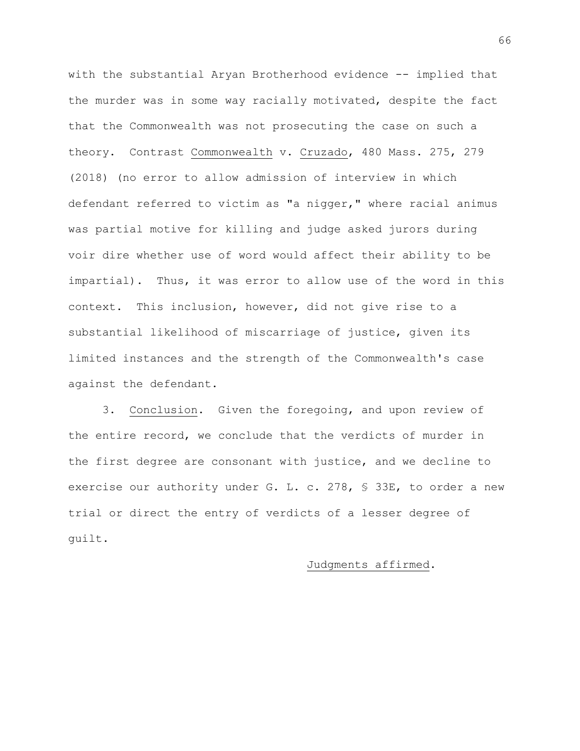with the substantial Aryan Brotherhood evidence -- implied that the murder was in some way racially motivated, despite the fact that the Commonwealth was not prosecuting the case on such a theory. Contrast Commonwealth v. Cruzado, 480 Mass. 275, 279 (2018) (no error to allow admission of interview in which defendant referred to victim as "a nigger," where racial animus was partial motive for killing and judge asked jurors during voir dire whether use of word would affect their ability to be impartial). Thus, it was error to allow use of the word in this context. This inclusion, however, did not give rise to a substantial likelihood of miscarriage of justice, given its limited instances and the strength of the Commonwealth's case against the defendant.

3. Conclusion. Given the foregoing, and upon review of the entire record, we conclude that the verdicts of murder in the first degree are consonant with justice, and we decline to exercise our authority under G. L. c. 278, § 33E, to order a new trial or direct the entry of verdicts of a lesser degree of guilt.

## Judgments affirmed.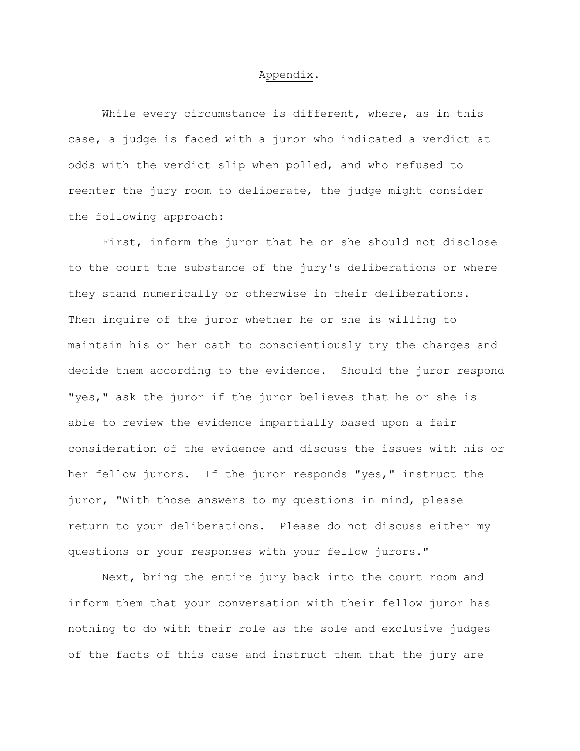## Appendix.

While every circumstance is different, where, as in this case, a judge is faced with a juror who indicated a verdict at odds with the verdict slip when polled, and who refused to reenter the jury room to deliberate, the judge might consider the following approach:

First, inform the juror that he or she should not disclose to the court the substance of the jury's deliberations or where they stand numerically or otherwise in their deliberations. Then inquire of the juror whether he or she is willing to maintain his or her oath to conscientiously try the charges and decide them according to the evidence. Should the juror respond "yes," ask the juror if the juror believes that he or she is able to review the evidence impartially based upon a fair consideration of the evidence and discuss the issues with his or her fellow jurors. If the juror responds "yes," instruct the juror, "With those answers to my questions in mind, please return to your deliberations. Please do not discuss either my questions or your responses with your fellow jurors."

Next, bring the entire jury back into the court room and inform them that your conversation with their fellow juror has nothing to do with their role as the sole and exclusive judges of the facts of this case and instruct them that the jury are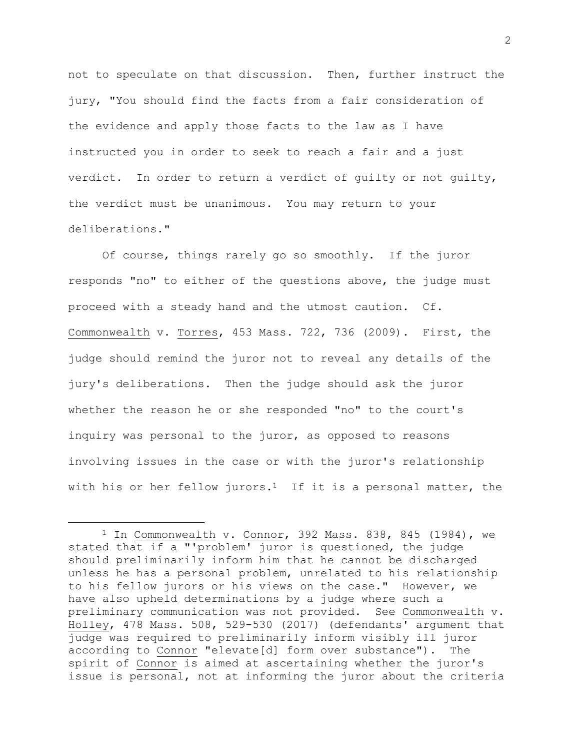not to speculate on that discussion. Then, further instruct the jury, "You should find the facts from a fair consideration of the evidence and apply those facts to the law as I have instructed you in order to seek to reach a fair and a just verdict. In order to return a verdict of guilty or not guilty, the verdict must be unanimous. You may return to your deliberations."

Of course, things rarely go so smoothly. If the juror responds "no" to either of the questions above, the judge must proceed with a steady hand and the utmost caution. Cf. Commonwealth v. Torres, 453 Mass. 722, 736 (2009). First, the judge should remind the juror not to reveal any details of the jury's deliberations. Then the judge should ask the juror whether the reason he or she responded "no" to the court's inquiry was personal to the juror, as opposed to reasons involving issues in the case or with the juror's relationship with his or her fellow jurors.<sup>1</sup> If it is a personal matter, the

i<br>L

 $1$  In Commonwealth v. Connor, 392 Mass. 838, 845 (1984), we stated that if a "'problem' juror is questioned, the judge should preliminarily inform him that he cannot be discharged unless he has a personal problem, unrelated to his relationship to his fellow jurors or his views on the case." However, we have also upheld determinations by a judge where such a preliminary communication was not provided. See Commonwealth v. Holley, 478 Mass. 508, 529-530 (2017) (defendants' argument that judge was required to preliminarily inform visibly ill juror according to Connor "elevate[d] form over substance"). The spirit of Connor is aimed at ascertaining whether the juror's issue is personal, not at informing the juror about the criteria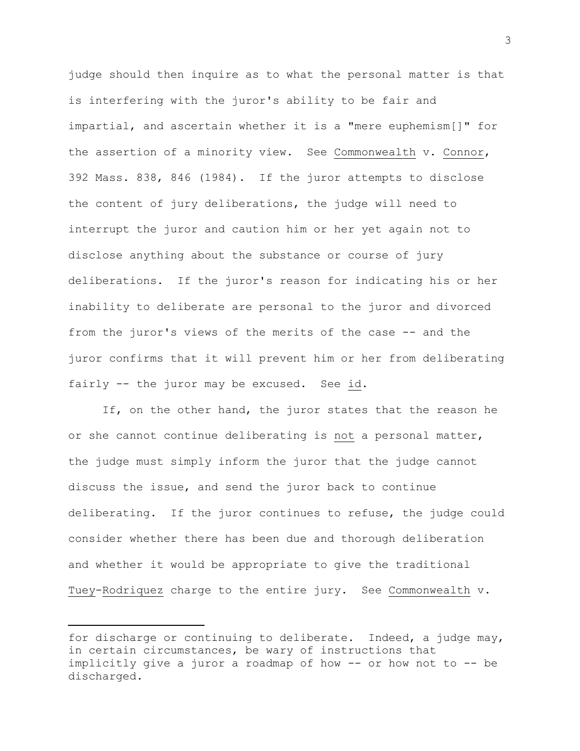judge should then inquire as to what the personal matter is that is interfering with the juror's ability to be fair and impartial, and ascertain whether it is a "mere euphemism[]" for the assertion of a minority view. See Commonwealth v. Connor, 392 Mass. 838, 846 (1984). If the juror attempts to disclose the content of jury deliberations, the judge will need to interrupt the juror and caution him or her yet again not to disclose anything about the substance or course of jury deliberations. If the juror's reason for indicating his or her inability to deliberate are personal to the juror and divorced from the juror's views of the merits of the case -- and the juror confirms that it will prevent him or her from deliberating fairly -- the juror may be excused. See id.

If, on the other hand, the juror states that the reason he or she cannot continue deliberating is not a personal matter, the judge must simply inform the juror that the judge cannot discuss the issue, and send the juror back to continue deliberating. If the juror continues to refuse, the judge could consider whether there has been due and thorough deliberation and whether it would be appropriate to give the traditional Tuey-Rodriquez charge to the entire jury. See Commonwealth v.

i<br>L

for discharge or continuing to deliberate. Indeed, a judge may, in certain circumstances, be wary of instructions that implicitly give a juror a roadmap of how -- or how not to -- be discharged.